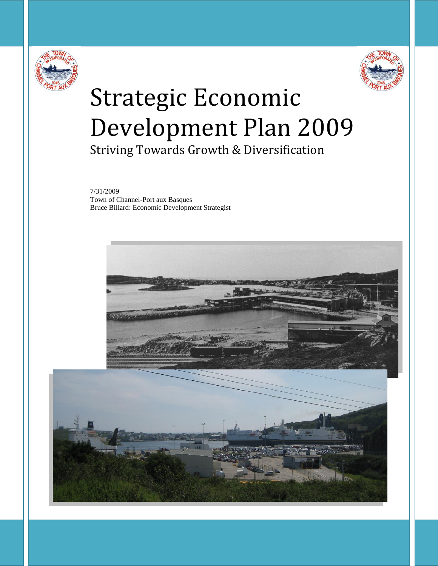



# Strategic Economic Development Plan 2009

Striving Towards Growth & Diversification

7/31/2009 Town of Channel-Port aux Basques Bruce Billard: Economic Development Strategist



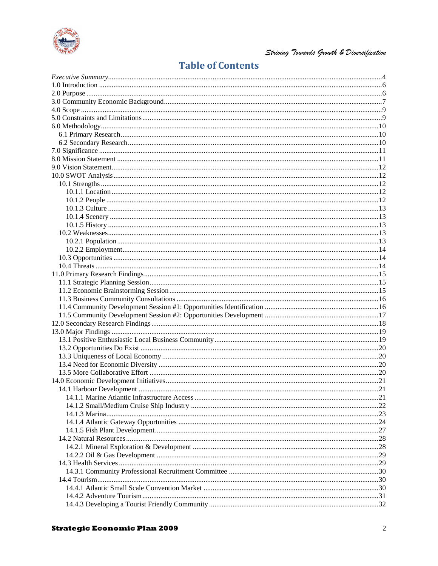

# **Table of Contents**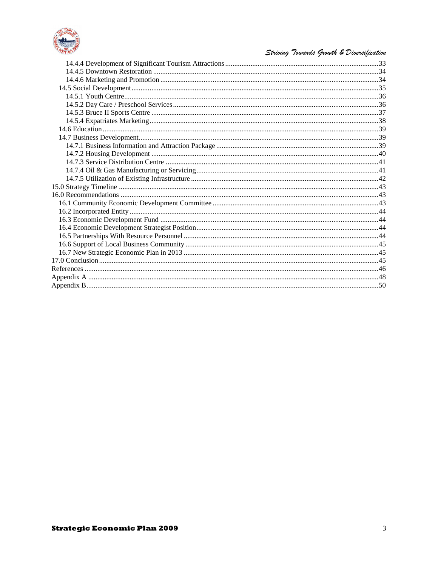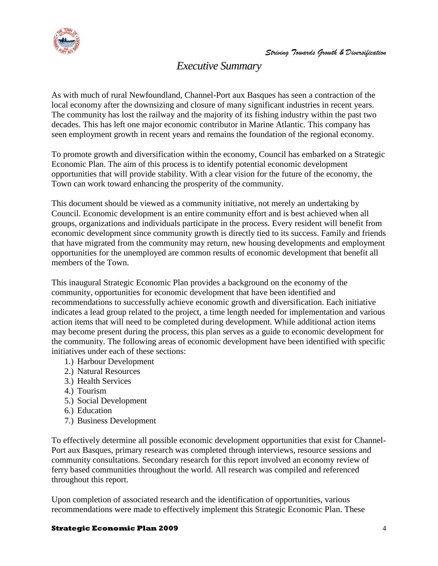

# *Executive Summary*

<span id="page-3-0"></span>As with much of rural Newfoundland, Channel-Port aux Basques has seen a contraction of the local economy after the downsizing and closure of many significant industries in recent years. The community has lost the railway and the majority of its fishing industry within the past two decades. This has left one major economic contributor in Marine Atlantic. This company has seen employment growth in recent years and remains the foundation of the regional economy.

To promote growth and diversification within the economy, Council has embarked on a Strategic Economic Plan. The aim of this process is to identify potential economic development opportunities that will provide stability. With a clear vision for the future of the economy, the Town can work toward enhancing the prosperity of the community.

This document should be viewed as a community initiative, not merely an undertaking by Council. Economic development is an entire community effort and is best achieved when all groups, organizations and individuals participate in the process. Every resident will benefit from economic development since community growth is directly tied to its success. Family and friends that have migrated from the community may return, new housing developments and employment opportunities for the unemployed are common results of economic development that benefit all members of the Town.

This inaugural Strategic Economic Plan provides a background on the economy of the community, opportunities for economic development that have been identified and recommendations to successfully achieve economic growth and diversification. Each initiative indicates a lead group related to the project, a time length needed for implementation and various action items that will need to be completed during development. While additional action items may become present during the process, this plan serves as a guide to economic development for the community. The following areas of economic development have been identified with specific initiatives under each of these sections:

- 1.) Harbour Development
- 2.) Natural Resources
- 3.) Health Services
- 4.) Tourism
- 5.) Social Development
- 6.) Education
- 7.) Business Development

To effectively determine all possible economic development opportunities that exist for Channel-Port aux Basques, primary research was completed through interviews, resource sessions and community consultations. Secondary research for this report involved an economy review of ferry based communities throughout the world. All research was compiled and referenced throughout this report.

Upon completion of associated research and the identification of opportunities, various recommendations were made to effectively implement this Strategic Economic Plan. These

#### **Strategic Economic Plan 2009** 4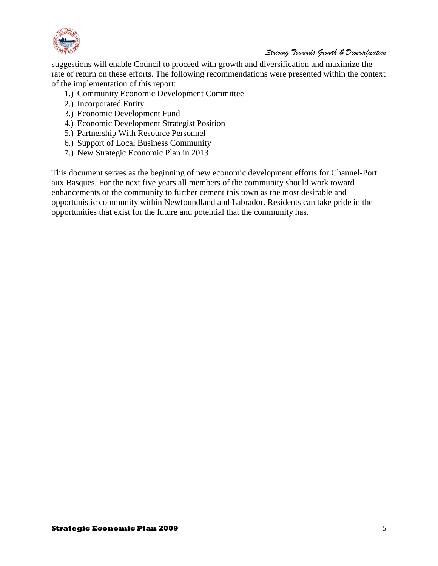

suggestions will enable Council to proceed with growth and diversification and maximize the rate of return on these efforts. The following recommendations were presented within the context of the implementation of this report:

- 1.) Community Economic Development Committee
- 2.) Incorporated Entity
- 3.) Economic Development Fund
- 4.) Economic Development Strategist Position
- 5.) Partnership With Resource Personnel
- 6.) Support of Local Business Community
- 7.) New Strategic Economic Plan in 2013

This document serves as the beginning of new economic development efforts for Channel-Port aux Basques. For the next five years all members of the community should work toward enhancements of the community to further cement this town as the most desirable and opportunistic community within Newfoundland and Labrador. Residents can take pride in the opportunities that exist for the future and potential that the community has.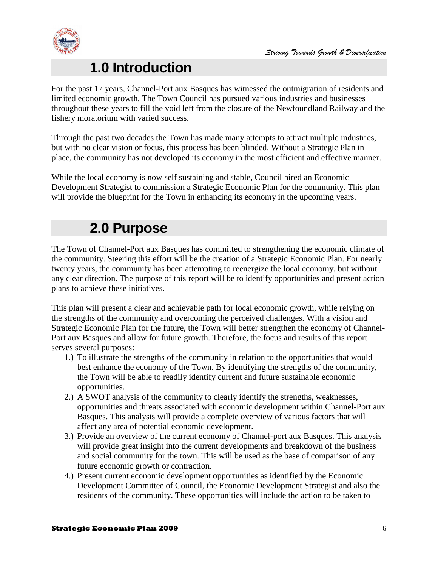



# **1.0 Introduction**

<span id="page-5-0"></span>For the past 17 years, Channel-Port aux Basques has witnessed the outmigration of residents and limited economic growth. The Town Council has pursued various industries and businesses throughout these years to fill the void left from the closure of the Newfoundland Railway and the fishery moratorium with varied success.

Through the past two decades the Town has made many attempts to attract multiple industries, but with no clear vision or focus, this process has been blinded. Without a Strategic Plan in place, the community has not developed its economy in the most efficient and effective manner.

While the local economy is now self sustaining and stable, Council hired an Economic Development Strategist to commission a Strategic Economic Plan for the community. This plan will provide the blueprint for the Town in enhancing its economy in the upcoming years.

# **2.0 Purpose**

<span id="page-5-1"></span>The Town of Channel-Port aux Basques has committed to strengthening the economic climate of the community. Steering this effort will be the creation of a Strategic Economic Plan. For nearly twenty years, the community has been attempting to reenergize the local economy, but without any clear direction. The purpose of this report will be to identify opportunities and present action plans to achieve these initiatives.

This plan will present a clear and achievable path for local economic growth, while relying on the strengths of the community and overcoming the perceived challenges. With a vision and Strategic Economic Plan for the future, the Town will better strengthen the economy of Channel-Port aux Basques and allow for future growth. Therefore, the focus and results of this report serves several purposes:

- 1.) To illustrate the strengths of the community in relation to the opportunities that would best enhance the economy of the Town. By identifying the strengths of the community, the Town will be able to readily identify current and future sustainable economic opportunities.
- 2.) A SWOT analysis of the community to clearly identify the strengths, weaknesses, opportunities and threats associated with economic development within Channel-Port aux Basques. This analysis will provide a complete overview of various factors that will affect any area of potential economic development.
- 3.) Provide an overview of the current economy of Channel-port aux Basques. This analysis will provide great insight into the current developments and breakdown of the business and social community for the town. This will be used as the base of comparison of any future economic growth or contraction.
- 4.) Present current economic development opportunities as identified by the Economic Development Committee of Council, the Economic Development Strategist and also the residents of the community. These opportunities will include the action to be taken to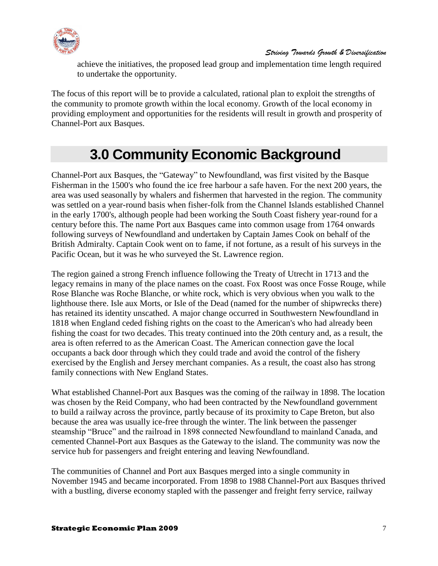

achieve the initiatives, the proposed lead group and implementation time length required to undertake the opportunity.

The focus of this report will be to provide a calculated, rational plan to exploit the strengths of the community to promote growth within the local economy. Growth of the local economy in providing employment and opportunities for the residents will result in growth and prosperity of Channel-Port aux Basques.

# **3.0 Community Economic Background**

<span id="page-6-0"></span>Channel-Port aux Basques, the "Gateway" to Newfoundland, was first visited by the Basque Fisherman in the 1500's who found the ice free harbour a safe haven. For the next 200 years, the area was used seasonally by whalers and fishermen that harvested in the region. The community was settled on a year-round basis when fisher-folk from the Channel Islands established Channel in the early 1700's, although people had been working the South Coast fishery year-round for a century before this. The name Port aux Basques came into common usage from 1764 onwards following surveys of Newfoundland and undertaken by Captain James Cook on behalf of the British Admiralty. Captain Cook went on to fame, if not fortune, as a result of his surveys in the Pacific Ocean, but it was he who surveyed the St. Lawrence region.

The region gained a strong French influence following the Treaty of Utrecht in 1713 and the legacy remains in many of the place names on the coast. Fox Roost was once Fosse Rouge, while Rose Blanche was Roche Blanche, or white rock, which is very obvious when you walk to the lighthouse there. Isle aux Morts, or Isle of the Dead (named for the number of shipwrecks there) has retained its identity unscathed. A major change occurred in Southwestern Newfoundland in 1818 when England ceded fishing rights on the coast to the American's who had already been fishing the coast for two decades. This treaty continued into the 20th century and, as a result, the area is often referred to as the American Coast. The American connection gave the local occupants a back door through which they could trade and avoid the control of the fishery exercised by the English and Jersey merchant companies. As a result, the coast also has strong family connections with New England States.

What established Channel-Port aux Basques was the coming of the railway in 1898. The location was chosen by the Reid Company, who had been contracted by the Newfoundland government to build a railway across the province, partly because of its proximity to Cape Breton, but also because the area was usually ice-free through the winter. The link between the passenger steamship "Bruce" and the railroad in 1898 connected Newfoundland to mainland Canada, and cemented Channel-Port aux Basques as the Gateway to the island. The community was now the service hub for passengers and freight entering and leaving Newfoundland.

The communities of Channel and Port aux Basques merged into a single community in November 1945 and became incorporated. From 1898 to 1988 Channel-Port aux Basques thrived with a bustling, diverse economy stapled with the passenger and freight ferry service, railway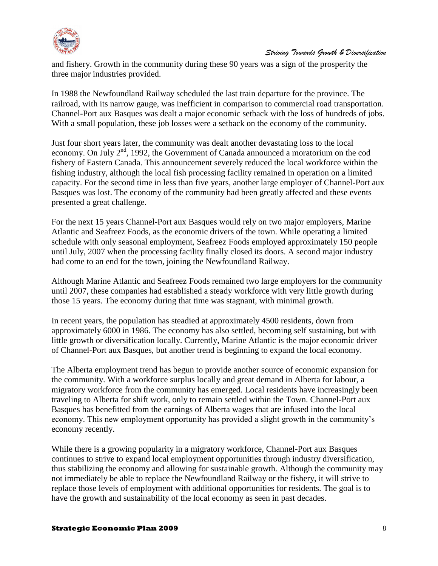

and fishery. Growth in the community during these 90 years was a sign of the prosperity the three major industries provided.

In 1988 the Newfoundland Railway scheduled the last train departure for the province. The railroad, with its narrow gauge, was inefficient in comparison to commercial road transportation. Channel-Port aux Basques was dealt a major economic setback with the loss of hundreds of jobs. With a small population, these job losses were a setback on the economy of the community.

Just four short years later, the community was dealt another devastating loss to the local economy. On July  $2<sup>nd</sup>$ , 1992, the Government of Canada announced a moratorium on the cod fishery of Eastern Canada. This announcement severely reduced the local workforce within the fishing industry, although the local fish processing facility remained in operation on a limited capacity. For the second time in less than five years, another large employer of Channel-Port aux Basques was lost. The economy of the community had been greatly affected and these events presented a great challenge.

For the next 15 years Channel-Port aux Basques would rely on two major employers, Marine Atlantic and Seafreez Foods, as the economic drivers of the town. While operating a limited schedule with only seasonal employment, Seafreez Foods employed approximately 150 people until July, 2007 when the processing facility finally closed its doors. A second major industry had come to an end for the town, joining the Newfoundland Railway.

Although Marine Atlantic and Seafreez Foods remained two large employers for the community until 2007, these companies had established a steady workforce with very little growth during those 15 years. The economy during that time was stagnant, with minimal growth.

In recent years, the population has steadied at approximately 4500 residents, down from approximately 6000 in 1986. The economy has also settled, becoming self sustaining, but with little growth or diversification locally. Currently, Marine Atlantic is the major economic driver of Channel-Port aux Basques, but another trend is beginning to expand the local economy.

The Alberta employment trend has begun to provide another source of economic expansion for the community. With a workforce surplus locally and great demand in Alberta for labour, a migratory workforce from the community has emerged. Local residents have increasingly been traveling to Alberta for shift work, only to remain settled within the Town. Channel-Port aux Basques has benefitted from the earnings of Alberta wages that are infused into the local economy. This new employment opportunity has provided a slight growth in the community's economy recently.

While there is a growing popularity in a migratory workforce, Channel-Port aux Basques continues to strive to expand local employment opportunities through industry diversification, thus stabilizing the economy and allowing for sustainable growth. Although the community may not immediately be able to replace the Newfoundland Railway or the fishery, it will strive to replace those levels of employment with additional opportunities for residents. The goal is to have the growth and sustainability of the local economy as seen in past decades.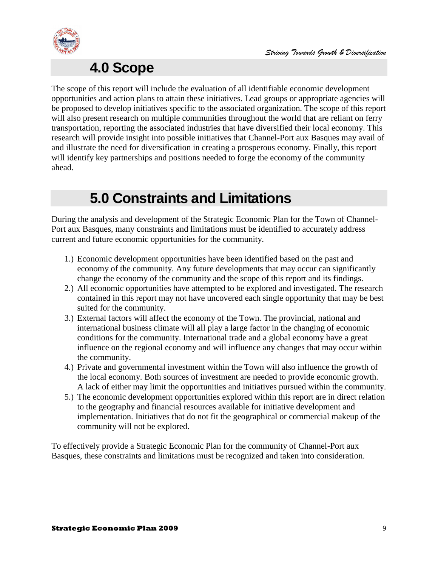

# **4.0 Scope**

<span id="page-8-0"></span>The scope of this report will include the evaluation of all identifiable economic development opportunities and action plans to attain these initiatives. Lead groups or appropriate agencies will be proposed to develop initiatives specific to the associated organization. The scope of this report will also present research on multiple communities throughout the world that are reliant on ferry transportation, reporting the associated industries that have diversified their local economy. This research will provide insight into possible initiatives that Channel-Port aux Basques may avail of and illustrate the need for diversification in creating a prosperous economy. Finally, this report will identify key partnerships and positions needed to forge the economy of the community ahead.

# **5.0 Constraints and Limitations**

<span id="page-8-1"></span>During the analysis and development of the Strategic Economic Plan for the Town of Channel-Port aux Basques, many constraints and limitations must be identified to accurately address current and future economic opportunities for the community.

- 1.) Economic development opportunities have been identified based on the past and economy of the community. Any future developments that may occur can significantly change the economy of the community and the scope of this report and its findings.
- 2.) All economic opportunities have attempted to be explored and investigated. The research contained in this report may not have uncovered each single opportunity that may be best suited for the community.
- 3.) External factors will affect the economy of the Town. The provincial, national and international business climate will all play a large factor in the changing of economic conditions for the community. International trade and a global economy have a great influence on the regional economy and will influence any changes that may occur within the community.
- 4.) Private and governmental investment within the Town will also influence the growth of the local economy. Both sources of investment are needed to provide economic growth. A lack of either may limit the opportunities and initiatives pursued within the community.
- 5.) The economic development opportunities explored within this report are in direct relation to the geography and financial resources available for initiative development and implementation. Initiatives that do not fit the geographical or commercial makeup of the community will not be explored.

To effectively provide a Strategic Economic Plan for the community of Channel-Port aux Basques, these constraints and limitations must be recognized and taken into consideration.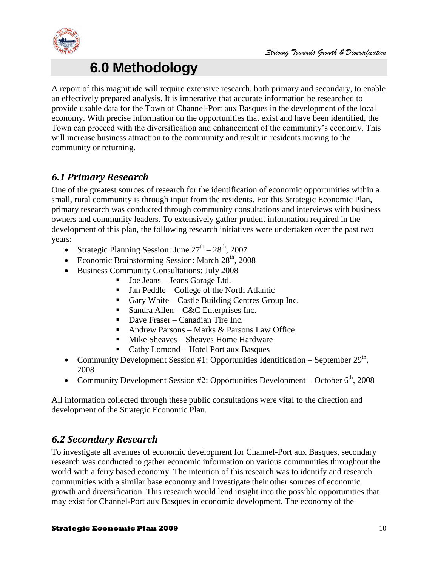

# **6.0 Methodology**

<span id="page-9-0"></span>A report of this magnitude will require extensive research, both primary and secondary, to enable an effectively prepared analysis. It is imperative that accurate information be researched to provide usable data for the Town of Channel-Port aux Basques in the development of the local economy. With precise information on the opportunities that exist and have been identified, the Town can proceed with the diversification and enhancement of the community's economy. This will increase business attraction to the community and result in residents moving to the community or returning.

# <span id="page-9-1"></span>*6.1 Primary Research*

One of the greatest sources of research for the identification of economic opportunities within a small, rural community is through input from the residents. For this Strategic Economic Plan, primary research was conducted through community consultations and interviews with business owners and community leaders. To extensively gather prudent information required in the development of this plan, the following research initiatives were undertaken over the past two years:

- Strategic Planning Session: June  $27<sup>th</sup> 28<sup>th</sup>$ , 2007
- Economic Brainstorming Session: March  $28<sup>th</sup>$ , 2008
- Business Community Consultations: July 2008
	- Joe Jeans Jeans Garage Ltd.
	- $\blacksquare$  Jan Peddle College of the North Atlantic
	- Gary White Castle Building Centres Group Inc.
	- Sandra Allen C&C Enterprises Inc.
	- Dave Fraser Canadian Tire Inc.
	- Andrew Parsons Marks & Parsons Law Office
	- Mike Sheaves Sheaves Home Hardware
	- Cathy Lomond Hotel Port aux Basques
- Community Development Session #1: Opportunities Identification September  $29<sup>th</sup>$ , 2008
- Community Development Session #2: Opportunities Development October  $6<sup>th</sup>$ , 2008

All information collected through these public consultations were vital to the direction and development of the Strategic Economic Plan.

# <span id="page-9-2"></span>*6.2 Secondary Research*

To investigate all avenues of economic development for Channel-Port aux Basques, secondary research was conducted to gather economic information on various communities throughout the world with a ferry based economy. The intention of this research was to identify and research communities with a similar base economy and investigate their other sources of economic growth and diversification. This research would lend insight into the possible opportunities that may exist for Channel-Port aux Basques in economic development. The economy of the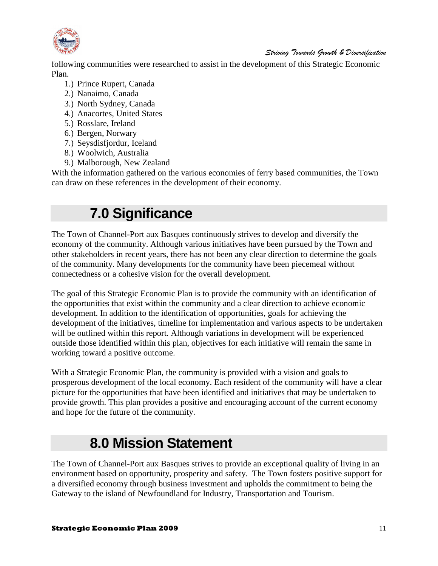

following communities were researched to assist in the development of this Strategic Economic Plan.

- 1.) Prince Rupert, Canada
- 2.) Nanaimo, Canada
- 3.) North Sydney, Canada
- 4.) Anacortes, United States
- 5.) Rosslare, Ireland
- 6.) Bergen, Norwary
- 7.) Seysdisfjordur, Iceland
- 8.) Woolwich, Australia
- 9.) Malborough, New Zealand

<span id="page-10-0"></span>With the information gathered on the various economies of ferry based communities, the Town can draw on these references in the development of their economy.

# **7.0 Significance**

The Town of Channel-Port aux Basques continuously strives to develop and diversify the economy of the community. Although various initiatives have been pursued by the Town and other stakeholders in recent years, there has not been any clear direction to determine the goals of the community. Many developments for the community have been piecemeal without connectedness or a cohesive vision for the overall development.

The goal of this Strategic Economic Plan is to provide the community with an identification of the opportunities that exist within the community and a clear direction to achieve economic development. In addition to the identification of opportunities, goals for achieving the development of the initiatives, timeline for implementation and various aspects to be undertaken will be outlined within this report. Although variations in development will be experienced outside those identified within this plan, objectives for each initiative will remain the same in working toward a positive outcome.

With a Strategic Economic Plan, the community is provided with a vision and goals to prosperous development of the local economy. Each resident of the community will have a clear picture for the opportunities that have been identified and initiatives that may be undertaken to provide growth. This plan provides a positive and encouraging account of the current economy and hope for the future of the community.

# **8.0 Mission Statement**

<span id="page-10-1"></span>The Town of Channel-Port aux Basques strives to provide an exceptional quality of living in an environment based on opportunity, prosperity and safety. The Town fosters positive support for a diversified economy through business investment and upholds the commitment to being the Gateway to the island of Newfoundland for Industry, Transportation and Tourism.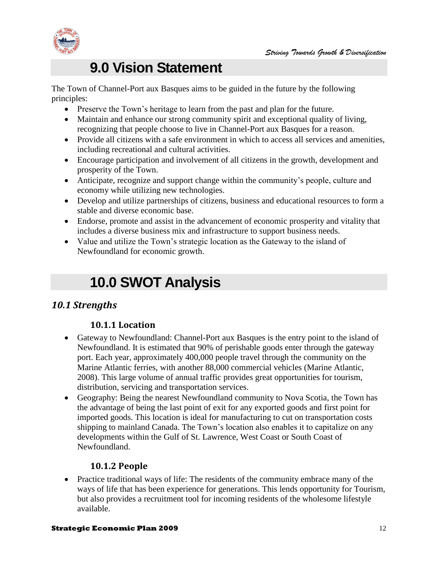

# **9.0 Vision Statement**

<span id="page-11-0"></span>The Town of Channel-Port aux Basques aims to be guided in the future by the following principles:

- Preserve the Town's heritage to learn from the past and plan for the future.
- Maintain and enhance our strong community spirit and exceptional quality of living, recognizing that people choose to live in Channel-Port aux Basques for a reason.
- Provide all citizens with a safe environment in which to access all services and amenities, including recreational and cultural activities.
- Encourage participation and involvement of all citizens in the growth, development and prosperity of the Town.
- Anticipate, recognize and support change within the community's people, culture and economy while utilizing new technologies.
- Develop and utilize partnerships of citizens, business and educational resources to form a stable and diverse economic base.
- Endorse, promote and assist in the advancement of economic prosperity and vitality that includes a diverse business mix and infrastructure to support business needs.
- <span id="page-11-1"></span> Value and utilize the Town's strategic location as the Gateway to the island of Newfoundland for economic growth.

# **10.0 SWOT Analysis**

# <span id="page-11-3"></span><span id="page-11-2"></span>*10.1 Strengths*

#### **10.1.1 Location**

- Gateway to Newfoundland: Channel-Port aux Basques is the entry point to the island of Newfoundland. It is estimated that 90% of perishable goods enter through the gateway port. Each year, approximately 400,000 people travel through the community on the Marine Atlantic ferries, with another 88,000 commercial vehicles (Marine Atlantic, 2008). This large volume of annual traffic provides great opportunities for tourism, distribution, servicing and transportation services.
- Geography: Being the nearest Newfoundland community to Nova Scotia, the Town has the advantage of being the last point of exit for any exported goods and first point for imported goods. This location is ideal for manufacturing to cut on transportation costs shipping to mainland Canada. The Town's location also enables it to capitalize on any developments within the Gulf of St. Lawrence, West Coast or South Coast of Newfoundland.

#### **10.1.2 People**

<span id="page-11-4"></span>• Practice traditional ways of life: The residents of the community embrace many of the ways of life that has been experience for generations. This lends opportunity for Tourism, but also provides a recruitment tool for incoming residents of the wholesome lifestyle available.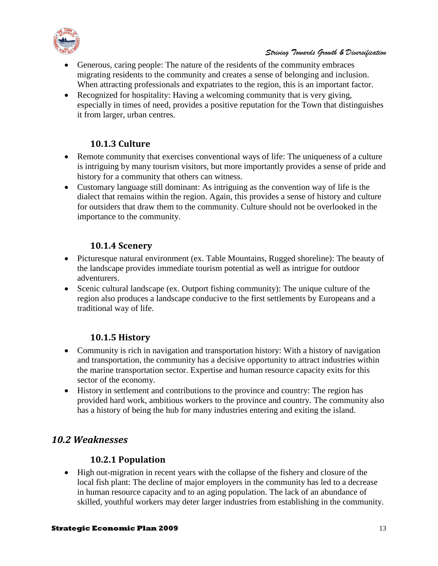

- Generous, caring people: The nature of the residents of the community embraces migrating residents to the community and creates a sense of belonging and inclusion. When attracting professionals and expatriates to the region, this is an important factor.
- Recognized for hospitality: Having a welcoming community that is very giving, especially in times of need, provides a positive reputation for the Town that distinguishes it from larger, urban centres.

#### **10.1.3 Culture**

- <span id="page-12-0"></span> Remote community that exercises conventional ways of life: The uniqueness of a culture is intriguing by many tourism visitors, but more importantly provides a sense of pride and history for a community that others can witness.
- Customary language still dominant: As intriguing as the convention way of life is the dialect that remains within the region. Again, this provides a sense of history and culture for outsiders that draw them to the community. Culture should not be overlooked in the importance to the community.

### **10.1.4 Scenery**

- <span id="page-12-1"></span>• Picturesque natural environment (ex. Table Mountains, Rugged shoreline): The beauty of the landscape provides immediate tourism potential as well as intrigue for outdoor adventurers.
- Scenic cultural landscape (ex. Outport fishing community): The unique culture of the region also produces a landscape conducive to the first settlements by Europeans and a traditional way of life.

# **10.1.5 History**

- <span id="page-12-2"></span> Community is rich in navigation and transportation history: With a history of navigation and transportation, the community has a decisive opportunity to attract industries within the marine transportation sector. Expertise and human resource capacity exits for this sector of the economy.
- History in settlement and contributions to the province and country: The region has provided hard work, ambitious workers to the province and country. The community also has a history of being the hub for many industries entering and exiting the island.

# <span id="page-12-4"></span><span id="page-12-3"></span>*10.2 Weaknesses*

#### **10.2.1 Population**

 High out-migration in recent years with the collapse of the fishery and closure of the local fish plant: The decline of major employers in the community has led to a decrease in human resource capacity and to an aging population. The lack of an abundance of skilled, youthful workers may deter larger industries from establishing in the community.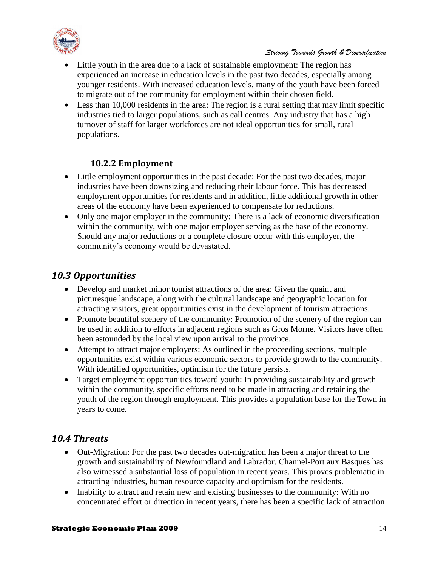

- Little youth in the area due to a lack of sustainable employment: The region has experienced an increase in education levels in the past two decades, especially among younger residents. With increased education levels, many of the youth have been forced to migrate out of the community for employment within their chosen field.
- Less than 10,000 residents in the area: The region is a rural setting that may limit specific industries tied to larger populations, such as call centres. Any industry that has a high turnover of staff for larger workforces are not ideal opportunities for small, rural populations.

### **10.2.2 Employment**

- <span id="page-13-0"></span> Little employment opportunities in the past decade: For the past two decades, major industries have been downsizing and reducing their labour force. This has decreased employment opportunities for residents and in addition, little additional growth in other areas of the economy have been experienced to compensate for reductions.
- Only one major employer in the community: There is a lack of economic diversification within the community, with one major employer serving as the base of the economy. Should any major reductions or a complete closure occur with this employer, the community's economy would be devastated.

# <span id="page-13-1"></span>*10.3 Opportunities*

- Develop and market minor tourist attractions of the area: Given the quaint and picturesque landscape, along with the cultural landscape and geographic location for attracting visitors, great opportunities exist in the development of tourism attractions.
- Promote beautiful scenery of the community: Promotion of the scenery of the region can be used in addition to efforts in adjacent regions such as Gros Morne. Visitors have often been astounded by the local view upon arrival to the province.
- Attempt to attract major employers: As outlined in the proceeding sections, multiple opportunities exist within various economic sectors to provide growth to the community. With identified opportunities, optimism for the future persists.
- Target employment opportunities toward youth: In providing sustainability and growth within the community, specific efforts need to be made in attracting and retaining the youth of the region through employment. This provides a population base for the Town in years to come.

# <span id="page-13-2"></span>*10.4 Threats*

- Out-Migration: For the past two decades out-migration has been a major threat to the growth and sustainability of Newfoundland and Labrador. Channel-Port aux Basques has also witnessed a substantial loss of population in recent years. This proves problematic in attracting industries, human resource capacity and optimism for the residents.
- Inability to attract and retain new and existing businesses to the community: With no concentrated effort or direction in recent years, there has been a specific lack of attraction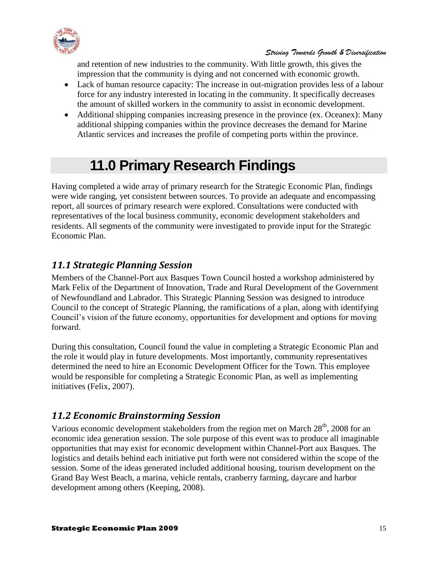

and retention of new industries to the community. With little growth, this gives the impression that the community is dying and not concerned with economic growth.

- Lack of human resource capacity: The increase in out-migration provides less of a labour force for any industry interested in locating in the community. It specifically decreases the amount of skilled workers in the community to assist in economic development.
- Additional shipping companies increasing presence in the province (ex. Oceanex): Many additional shipping companies within the province decreases the demand for Marine Atlantic services and increases the profile of competing ports within the province.

# **11.0 Primary Research Findings**

<span id="page-14-0"></span>Having completed a wide array of primary research for the Strategic Economic Plan, findings were wide ranging, yet consistent between sources. To provide an adequate and encompassing report, all sources of primary research were explored. Consultations were conducted with representatives of the local business community, economic development stakeholders and residents. All segments of the community were investigated to provide input for the Strategic Economic Plan.

# <span id="page-14-1"></span>*11.1 Strategic Planning Session*

Members of the Channel-Port aux Basques Town Council hosted a workshop administered by Mark Felix of the Department of Innovation, Trade and Rural Development of the Government of Newfoundland and Labrador. This Strategic Planning Session was designed to introduce Council to the concept of Strategic Planning, the ramifications of a plan, along with identifying Council's vision of the future economy, opportunities for development and options for moving forward.

During this consultation, Council found the value in completing a Strategic Economic Plan and the role it would play in future developments. Most importantly, community representatives determined the need to hire an Economic Development Officer for the Town. This employee would be responsible for completing a Strategic Economic Plan, as well as implementing initiatives (Felix, 2007).

# <span id="page-14-2"></span>*11.2 Economic Brainstorming Session*

Various economic development stakeholders from the region met on March 28<sup>th</sup>, 2008 for an economic idea generation session. The sole purpose of this event was to produce all imaginable opportunities that may exist for economic development within Channel-Port aux Basques. The logistics and details behind each initiative put forth were not considered within the scope of the session. Some of the ideas generated included additional housing, tourism development on the Grand Bay West Beach, a marina, vehicle rentals, cranberry farming, daycare and harbor development among others (Keeping, 2008).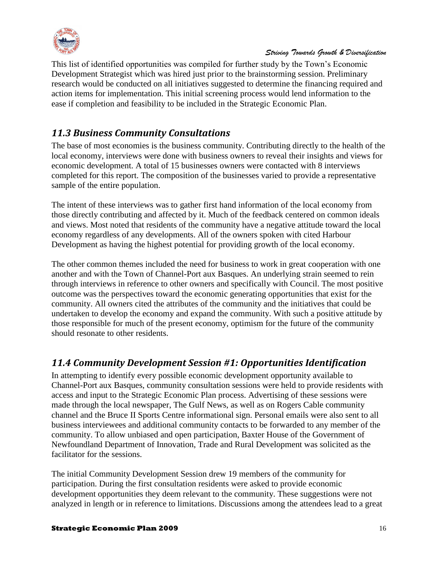

This list of identified opportunities was compiled for further study by the Town's Economic Development Strategist which was hired just prior to the brainstorming session. Preliminary research would be conducted on all initiatives suggested to determine the financing required and action items for implementation. This initial screening process would lend information to the ease if completion and feasibility to be included in the Strategic Economic Plan.

# <span id="page-15-0"></span>*11.3 Business Community Consultations*

The base of most economies is the business community. Contributing directly to the health of the local economy, interviews were done with business owners to reveal their insights and views for economic development. A total of 15 businesses owners were contacted with 8 interviews completed for this report. The composition of the businesses varied to provide a representative sample of the entire population.

The intent of these interviews was to gather first hand information of the local economy from those directly contributing and affected by it. Much of the feedback centered on common ideals and views. Most noted that residents of the community have a negative attitude toward the local economy regardless of any developments. All of the owners spoken with cited Harbour Development as having the highest potential for providing growth of the local economy.

The other common themes included the need for business to work in great cooperation with one another and with the Town of Channel-Port aux Basques. An underlying strain seemed to rein through interviews in reference to other owners and specifically with Council. The most positive outcome was the perspectives toward the economic generating opportunities that exist for the community. All owners cited the attributes of the community and the initiatives that could be undertaken to develop the economy and expand the community. With such a positive attitude by those responsible for much of the present economy, optimism for the future of the community should resonate to other residents.

# <span id="page-15-1"></span>*11.4 Community Development Session #1: Opportunities Identification*

In attempting to identify every possible economic development opportunity available to Channel-Port aux Basques, community consultation sessions were held to provide residents with access and input to the Strategic Economic Plan process. Advertising of these sessions were made through the local newspaper, The Gulf News, as well as on Rogers Cable community channel and the Bruce II Sports Centre informational sign. Personal emails were also sent to all business interviewees and additional community contacts to be forwarded to any member of the community. To allow unbiased and open participation, Baxter House of the Government of Newfoundland Department of Innovation, Trade and Rural Development was solicited as the facilitator for the sessions.

The initial Community Development Session drew 19 members of the community for participation. During the first consultation residents were asked to provide economic development opportunities they deem relevant to the community. These suggestions were not analyzed in length or in reference to limitations. Discussions among the attendees lead to a great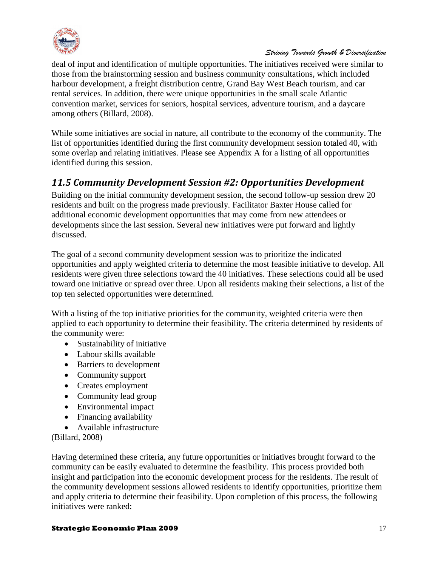

deal of input and identification of multiple opportunities. The initiatives received were similar to those from the brainstorming session and business community consultations, which included harbour development, a freight distribution centre, Grand Bay West Beach tourism, and car rental services. In addition, there were unique opportunities in the small scale Atlantic convention market, services for seniors, hospital services, adventure tourism, and a daycare among others (Billard, 2008).

While some initiatives are social in nature, all contribute to the economy of the community. The list of opportunities identified during the first community development session totaled 40, with some overlap and relating initiatives. Please see Appendix A for a listing of all opportunities identified during this session.

# <span id="page-16-0"></span>*11.5 Community Development Session #2: Opportunities Development*

Building on the initial community development session, the second follow-up session drew 20 residents and built on the progress made previously. Facilitator Baxter House called for additional economic development opportunities that may come from new attendees or developments since the last session. Several new initiatives were put forward and lightly discussed.

The goal of a second community development session was to prioritize the indicated opportunities and apply weighted criteria to determine the most feasible initiative to develop. All residents were given three selections toward the 40 initiatives. These selections could all be used toward one initiative or spread over three. Upon all residents making their selections, a list of the top ten selected opportunities were determined.

With a listing of the top initiative priorities for the community, weighted criteria were then applied to each opportunity to determine their feasibility. The criteria determined by residents of the community were:

- Sustainability of initiative
- Labour skills available
- Barriers to development
- Community support
- Creates employment
- Community lead group
- Environmental impact
- Financing availability
- Available infrastructure

(Billard, 2008)

Having determined these criteria, any future opportunities or initiatives brought forward to the community can be easily evaluated to determine the feasibility. This process provided both insight and participation into the economic development process for the residents. The result of the community development sessions allowed residents to identify opportunities, prioritize them and apply criteria to determine their feasibility. Upon completion of this process, the following initiatives were ranked:

#### **Strategic Economic Plan 2009** 17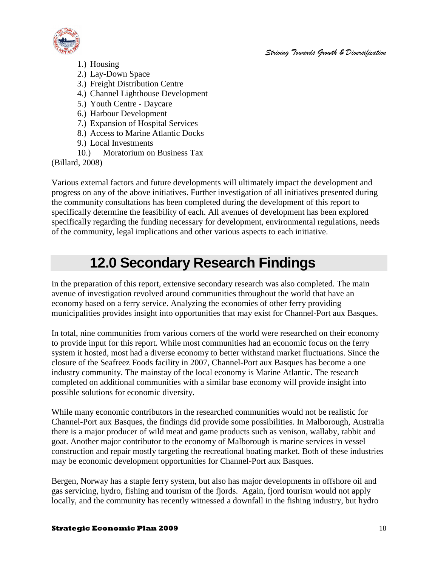

- 1.) Housing
- 2.) Lay-Down Space
- 3.) Freight Distribution Centre
- 4.) Channel Lighthouse Development
- 5.) Youth Centre Daycare
- 6.) Harbour Development
- 7.) Expansion of Hospital Services
- 8.) Access to Marine Atlantic Docks
- 9.) Local Investments
- 10.) Moratorium on Business Tax

(Billard, 2008)

Various external factors and future developments will ultimately impact the development and progress on any of the above initiatives. Further investigation of all initiatives presented during the community consultations has been completed during the development of this report to specifically determine the feasibility of each. All avenues of development has been explored specifically regarding the funding necessary for development, environmental regulations, needs of the community, legal implications and other various aspects to each initiative.

# **12.0 Secondary Research Findings**

<span id="page-17-0"></span>In the preparation of this report, extensive secondary research was also completed. The main avenue of investigation revolved around communities throughout the world that have an economy based on a ferry service. Analyzing the economies of other ferry providing municipalities provides insight into opportunities that may exist for Channel-Port aux Basques.

In total, nine communities from various corners of the world were researched on their economy to provide input for this report. While most communities had an economic focus on the ferry system it hosted, most had a diverse economy to better withstand market fluctuations. Since the closure of the Seafreez Foods facility in 2007, Channel-Port aux Basques has become a one industry community. The mainstay of the local economy is Marine Atlantic. The research completed on additional communities with a similar base economy will provide insight into possible solutions for economic diversity.

While many economic contributors in the researched communities would not be realistic for Channel-Port aux Basques, the findings did provide some possibilities. In Malborough, Australia there is a major producer of wild meat and game products such as venison, wallaby, rabbit and goat. Another major contributor to the economy of Malborough is marine services in vessel construction and repair mostly targeting the recreational boating market. Both of these industries may be economic development opportunities for Channel-Port aux Basques.

Bergen, Norway has a staple ferry system, but also has major developments in offshore oil and gas servicing, hydro, fishing and tourism of the fjords. Again, fjord tourism would not apply locally, and the community has recently witnessed a downfall in the fishing industry, but hydro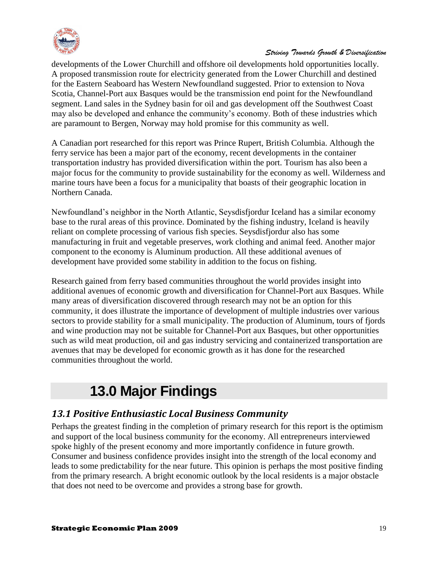

developments of the Lower Churchill and offshore oil developments hold opportunities locally. A proposed transmission route for electricity generated from the Lower Churchill and destined for the Eastern Seaboard has Western Newfoundland suggested. Prior to extension to Nova Scotia, Channel-Port aux Basques would be the transmission end point for the Newfoundland segment. Land sales in the Sydney basin for oil and gas development off the Southwest Coast may also be developed and enhance the community's economy. Both of these industries which are paramount to Bergen, Norway may hold promise for this community as well.

A Canadian port researched for this report was Prince Rupert, British Columbia. Although the ferry service has been a major part of the economy, recent developments in the container transportation industry has provided diversification within the port. Tourism has also been a major focus for the community to provide sustainability for the economy as well. Wilderness and marine tours have been a focus for a municipality that boasts of their geographic location in Northern Canada.

Newfoundland's neighbor in the North Atlantic, Seysdisfjordur Iceland has a similar economy base to the rural areas of this province. Dominated by the fishing industry, Iceland is heavily reliant on complete processing of various fish species. Seysdisfjordur also has some manufacturing in fruit and vegetable preserves, work clothing and animal feed. Another major component to the economy is Aluminum production. All these additional avenues of development have provided some stability in addition to the focus on fishing.

Research gained from ferry based communities throughout the world provides insight into additional avenues of economic growth and diversification for Channel-Port aux Basques. While many areas of diversification discovered through research may not be an option for this community, it does illustrate the importance of development of multiple industries over various sectors to provide stability for a small municipality. The production of Aluminum, tours of fjords and wine production may not be suitable for Channel-Port aux Basques, but other opportunities such as wild meat production, oil and gas industry servicing and containerized transportation are avenues that may be developed for economic growth as it has done for the researched communities throughout the world.

# **13.0 Major Findings**

# <span id="page-18-1"></span><span id="page-18-0"></span>*13.1 Positive Enthusiastic Local Business Community*

Perhaps the greatest finding in the completion of primary research for this report is the optimism and support of the local business community for the economy. All entrepreneurs interviewed spoke highly of the present economy and more importantly confidence in future growth. Consumer and business confidence provides insight into the strength of the local economy and leads to some predictability for the near future. This opinion is perhaps the most positive finding from the primary research. A bright economic outlook by the local residents is a major obstacle that does not need to be overcome and provides a strong base for growth.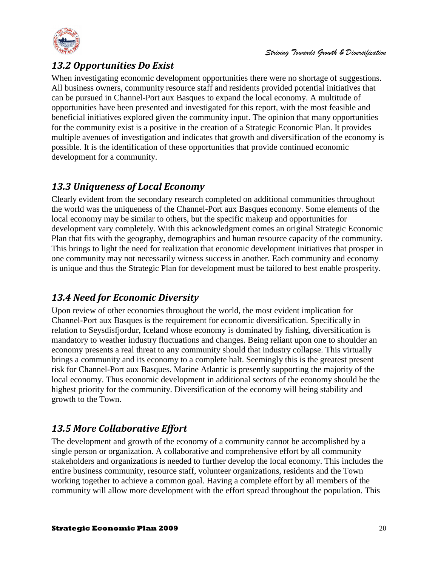

# <span id="page-19-0"></span>*13.2 Opportunities Do Exist*

When investigating economic development opportunities there were no shortage of suggestions. All business owners, community resource staff and residents provided potential initiatives that can be pursued in Channel-Port aux Basques to expand the local economy. A multitude of opportunities have been presented and investigated for this report, with the most feasible and beneficial initiatives explored given the community input. The opinion that many opportunities for the community exist is a positive in the creation of a Strategic Economic Plan. It provides multiple avenues of investigation and indicates that growth and diversification of the economy is possible. It is the identification of these opportunities that provide continued economic development for a community.

# <span id="page-19-1"></span>*13.3 Uniqueness of Local Economy*

Clearly evident from the secondary research completed on additional communities throughout the world was the uniqueness of the Channel-Port aux Basques economy. Some elements of the local economy may be similar to others, but the specific makeup and opportunities for development vary completely. With this acknowledgment comes an original Strategic Economic Plan that fits with the geography, demographics and human resource capacity of the community. This brings to light the need for realization that economic development initiatives that prosper in one community may not necessarily witness success in another. Each community and economy is unique and thus the Strategic Plan for development must be tailored to best enable prosperity.

# <span id="page-19-2"></span>*13.4 Need for Economic Diversity*

Upon review of other economies throughout the world, the most evident implication for Channel-Port aux Basques is the requirement for economic diversification. Specifically in relation to Seysdisfjordur, Iceland whose economy is dominated by fishing, diversification is mandatory to weather industry fluctuations and changes. Being reliant upon one to shoulder an economy presents a real threat to any community should that industry collapse. This virtually brings a community and its economy to a complete halt. Seemingly this is the greatest present risk for Channel-Port aux Basques. Marine Atlantic is presently supporting the majority of the local economy. Thus economic development in additional sectors of the economy should be the highest priority for the community. Diversification of the economy will being stability and growth to the Town.

# <span id="page-19-3"></span>*13.5 More Collaborative Effort*

The development and growth of the economy of a community cannot be accomplished by a single person or organization. A collaborative and comprehensive effort by all community stakeholders and organizations is needed to further develop the local economy. This includes the entire business community, resource staff, volunteer organizations, residents and the Town working together to achieve a common goal. Having a complete effort by all members of the community will allow more development with the effort spread throughout the population. This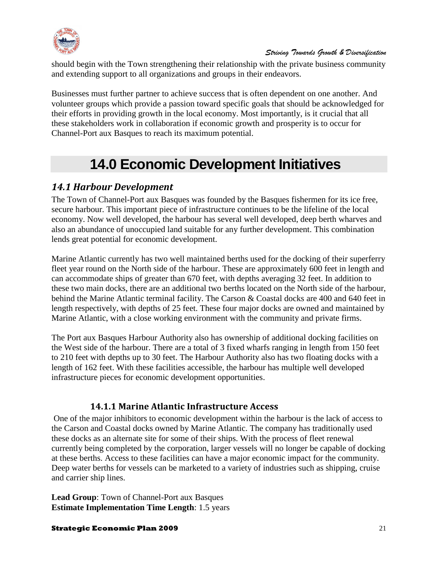

should begin with the Town strengthening their relationship with the private business community and extending support to all organizations and groups in their endeavors.

Businesses must further partner to achieve success that is often dependent on one another. And volunteer groups which provide a passion toward specific goals that should be acknowledged for their efforts in providing growth in the local economy. Most importantly, is it crucial that all these stakeholders work in collaboration if economic growth and prosperity is to occur for Channel-Port aux Basques to reach its maximum potential.

# **14.0 Economic Development Initiatives**

# <span id="page-20-1"></span><span id="page-20-0"></span>*14.1 Harbour Development*

The Town of Channel-Port aux Basques was founded by the Basques fishermen for its ice free, secure harbour. This important piece of infrastructure continues to be the lifeline of the local economy. Now well developed, the harbour has several well developed, deep berth wharves and also an abundance of unoccupied land suitable for any further development. This combination lends great potential for economic development.

Marine Atlantic currently has two well maintained berths used for the docking of their superferry fleet year round on the North side of the harbour. These are approximately 600 feet in length and can accommodate ships of greater than 670 feet, with depths averaging 32 feet. In addition to these two main docks, there are an additional two berths located on the North side of the harbour, behind the Marine Atlantic terminal facility. The Carson & Coastal docks are 400 and 640 feet in length respectively, with depths of 25 feet. These four major docks are owned and maintained by Marine Atlantic, with a close working environment with the community and private firms.

The Port aux Basques Harbour Authority also has ownership of additional docking facilities on the West side of the harbour. There are a total of 3 fixed wharfs ranging in length from 150 feet to 210 feet with depths up to 30 feet. The Harbour Authority also has two floating docks with a length of 162 feet. With these facilities accessible, the harbour has multiple well developed infrastructure pieces for economic development opportunities.

# **14.1.1 Marine Atlantic Infrastructure Access**

<span id="page-20-2"></span>One of the major inhibitors to economic development within the harbour is the lack of access to the Carson and Coastal docks owned by Marine Atlantic. The company has traditionally used these docks as an alternate site for some of their ships. With the process of fleet renewal currently being completed by the corporation, larger vessels will no longer be capable of docking at these berths. Access to these facilities can have a major economic impact for the community. Deep water berths for vessels can be marketed to a variety of industries such as shipping, cruise and carrier ship lines.

**Lead Group**: Town of Channel-Port aux Basques **Estimate Implementation Time Length**: 1.5 years

#### **Strategic Economic Plan 2009** 21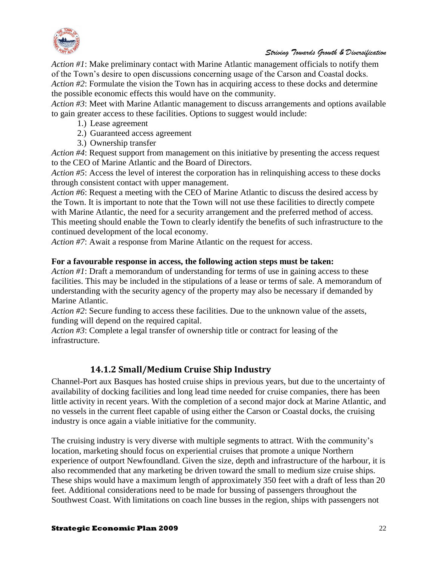

*Action #1*: Make preliminary contact with Marine Atlantic management officials to notify them of the Town's desire to open discussions concerning usage of the Carson and Coastal docks. *Action #2*: Formulate the vision the Town has in acquiring access to these docks and determine the possible economic effects this would have on the community.

*Action #3*: Meet with Marine Atlantic management to discuss arrangements and options available to gain greater access to these facilities. Options to suggest would include:

- 1.) Lease agreement
- 2.) Guaranteed access agreement
- 3.) Ownership transfer

*Action #4*: Request support from management on this initiative by presenting the access request to the CEO of Marine Atlantic and the Board of Directors.

*Action #5*: Access the level of interest the corporation has in relinquishing access to these docks through consistent contact with upper management.

*Action #6*: Request a meeting with the CEO of Marine Atlantic to discuss the desired access by the Town. It is important to note that the Town will not use these facilities to directly compete with Marine Atlantic, the need for a security arrangement and the preferred method of access. This meeting should enable the Town to clearly identify the benefits of such infrastructure to the continued development of the local economy.

*Action #7*: Await a response from Marine Atlantic on the request for access.

#### **For a favourable response in access, the following action steps must be taken:**

*Action #1*: Draft a memorandum of understanding for terms of use in gaining access to these facilities. This may be included in the stipulations of a lease or terms of sale. A memorandum of understanding with the security agency of the property may also be necessary if demanded by Marine Atlantic.

*Action #2*: Secure funding to access these facilities. Due to the unknown value of the assets, funding will depend on the required capital.

*Action #3*: Complete a legal transfer of ownership title or contract for leasing of the infrastructure.

#### **14.1.2 Small/Medium Cruise Ship Industry**

<span id="page-21-0"></span>Channel-Port aux Basques has hosted cruise ships in previous years, but due to the uncertainty of availability of docking facilities and long lead time needed for cruise companies, there has been little activity in recent years. With the completion of a second major dock at Marine Atlantic, and no vessels in the current fleet capable of using either the Carson or Coastal docks, the cruising industry is once again a viable initiative for the community.

The cruising industry is very diverse with multiple segments to attract. With the community's location, marketing should focus on experiential cruises that promote a unique Northern experience of outport Newfoundland. Given the size, depth and infrastructure of the harbour, it is also recommended that any marketing be driven toward the small to medium size cruise ships. These ships would have a maximum length of approximately 350 feet with a draft of less than 20 feet. Additional considerations need to be made for bussing of passengers throughout the Southwest Coast. With limitations on coach line busses in the region, ships with passengers not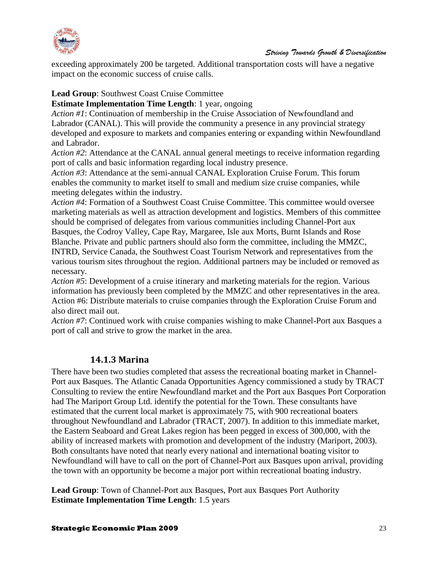

exceeding approximately 200 be targeted. Additional transportation costs will have a negative impact on the economic success of cruise calls.

#### **Lead Group**: Southwest Coast Cruise Committee

**Estimate Implementation Time Length**: 1 year, ongoing

*Action #1*: Continuation of membership in the Cruise Association of Newfoundland and Labrador (CANAL). This will provide the community a presence in any provincial strategy developed and exposure to markets and companies entering or expanding within Newfoundland and Labrador.

*Action #2*: Attendance at the CANAL annual general meetings to receive information regarding port of calls and basic information regarding local industry presence.

*Action #3*: Attendance at the semi-annual CANAL Exploration Cruise Forum. This forum enables the community to market itself to small and medium size cruise companies, while meeting delegates within the industry.

*Action #4*: Formation of a Southwest Coast Cruise Committee. This committee would oversee marketing materials as well as attraction development and logistics. Members of this committee should be comprised of delegates from various communities including Channel-Port aux Basques, the Codroy Valley, Cape Ray, Margaree, Isle aux Morts, Burnt Islands and Rose Blanche. Private and public partners should also form the committee, including the MMZC, INTRD, Service Canada, the Southwest Coast Tourism Network and representatives from the various tourism sites throughout the region. Additional partners may be included or removed as necessary.

*Action #5*: Development of a cruise itinerary and marketing materials for the region. Various information has previously been completed by the MMZC and other representatives in the area. Action #6: Distribute materials to cruise companies through the Exploration Cruise Forum and also direct mail out.

*Action #7*: Continued work with cruise companies wishing to make Channel-Port aux Basques a port of call and strive to grow the market in the area.

#### **14.1.3 Marina**

<span id="page-22-0"></span>There have been two studies completed that assess the recreational boating market in Channel-Port aux Basques. The Atlantic Canada Opportunities Agency commissioned a study by TRACT Consulting to review the entire Newfoundland market and the Port aux Basques Port Corporation had The Mariport Group Ltd. identify the potential for the Town. These consultants have estimated that the current local market is approximately 75, with 900 recreational boaters throughout Newfoundland and Labrador (TRACT, 2007). In addition to this immediate market, the Eastern Seaboard and Great Lakes region has been pegged in excess of 300,000, with the ability of increased markets with promotion and development of the industry (Mariport, 2003). Both consultants have noted that nearly every national and international boating visitor to Newfoundland will have to call on the port of Channel-Port aux Basques upon arrival, providing the town with an opportunity be become a major port within recreational boating industry.

**Lead Group**: Town of Channel-Port aux Basques, Port aux Basques Port Authority **Estimate Implementation Time Length**: 1.5 years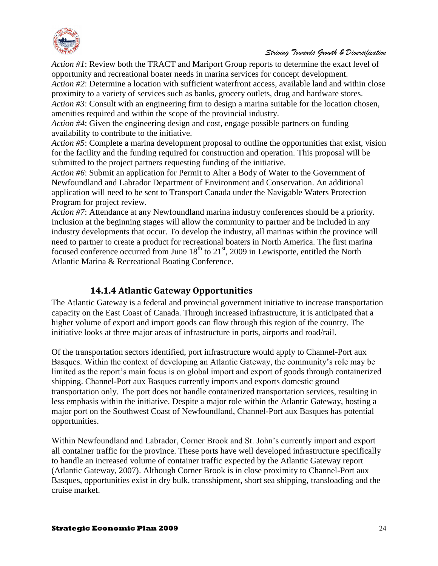

*Action #1*: Review both the TRACT and Mariport Group reports to determine the exact level of opportunity and recreational boater needs in marina services for concept development. *Action #2*: Determine a location with sufficient waterfront access, available land and within close proximity to a variety of services such as banks, grocery outlets, drug and hardware stores. *Action #3*: Consult with an engineering firm to design a marina suitable for the location chosen, amenities required and within the scope of the provincial industry.

*Action #4*: Given the engineering design and cost, engage possible partners on funding availability to contribute to the initiative.

*Action #5*: Complete a marina development proposal to outline the opportunities that exist, vision for the facility and the funding required for construction and operation. This proposal will be submitted to the project partners requesting funding of the initiative.

*Action #6*: Submit an application for Permit to Alter a Body of Water to the Government of Newfoundland and Labrador Department of Environment and Conservation. An additional application will need to be sent to Transport Canada under the Navigable Waters Protection Program for project review.

*Action #7*: Attendance at any Newfoundland marina industry conferences should be a priority. Inclusion at the beginning stages will allow the community to partner and be included in any industry developments that occur. To develop the industry, all marinas within the province will need to partner to create a product for recreational boaters in North America. The first marina focused conference occurred from June  $18<sup>th</sup>$  to  $21<sup>st</sup>$ , 2009 in Lewisporte, entitled the North Atlantic Marina & Recreational Boating Conference.

# **14.1.4 Atlantic Gateway Opportunities**

<span id="page-23-0"></span>The Atlantic Gateway is a federal and provincial government initiative to increase transportation capacity on the East Coast of Canada. Through increased infrastructure, it is anticipated that a higher volume of export and import goods can flow through this region of the country. The initiative looks at three major areas of infrastructure in ports, airports and road/rail.

Of the transportation sectors identified, port infrastructure would apply to Channel-Port aux Basques. Within the context of developing an Atlantic Gateway, the community's role may be limited as the report's main focus is on global import and export of goods through containerized shipping. Channel-Port aux Basques currently imports and exports domestic ground transportation only. The port does not handle containerized transportation services, resulting in less emphasis within the initiative. Despite a major role within the Atlantic Gateway, hosting a major port on the Southwest Coast of Newfoundland, Channel-Port aux Basques has potential opportunities.

Within Newfoundland and Labrador, Corner Brook and St. John's currently import and export all container traffic for the province. These ports have well developed infrastructure specifically to handle an increased volume of container traffic expected by the Atlantic Gateway report (Atlantic Gateway, 2007). Although Corner Brook is in close proximity to Channel-Port aux Basques, opportunities exist in dry bulk, transshipment, short sea shipping, transloading and the cruise market.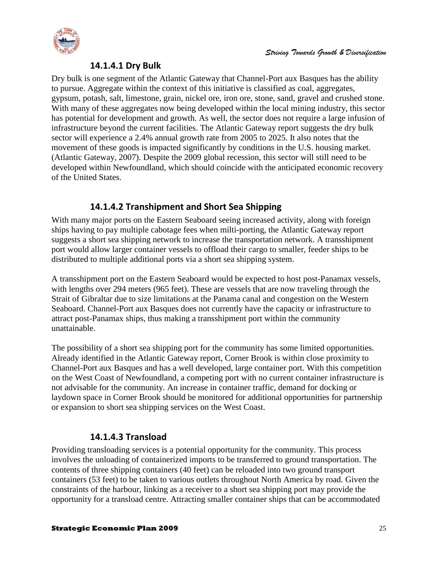

### **14.1.4.1 Dry Bulk**

Dry bulk is one segment of the Atlantic Gateway that Channel-Port aux Basques has the ability to pursue. Aggregate within the context of this initiative is classified as coal, aggregates, gypsum, potash, salt, limestone, grain, nickel ore, iron ore, stone, sand, gravel and crushed stone. With many of these aggregates now being developed within the local mining industry, this sector has potential for development and growth. As well, the sector does not require a large infusion of infrastructure beyond the current facilities. The Atlantic Gateway report suggests the dry bulk sector will experience a 2.4% annual growth rate from 2005 to 2025. It also notes that the movement of these goods is impacted significantly by conditions in the U.S. housing market. (Atlantic Gateway, 2007). Despite the 2009 global recession, this sector will still need to be developed within Newfoundland, which should coincide with the anticipated economic recovery of the United States.

### **14.1.4.2 Transhipment and Short Sea Shipping**

With many major ports on the Eastern Seaboard seeing increased activity, along with foreign ships having to pay multiple cabotage fees when milti-porting, the Atlantic Gateway report suggests a short sea shipping network to increase the transportation network. A transshipment port would allow larger container vessels to offload their cargo to smaller, feeder ships to be distributed to multiple additional ports via a short sea shipping system.

A transshipment port on the Eastern Seaboard would be expected to host post-Panamax vessels, with lengths over 294 meters (965 feet). These are vessels that are now traveling through the Strait of Gibraltar due to size limitations at the Panama canal and congestion on the Western Seaboard. Channel-Port aux Basques does not currently have the capacity or infrastructure to attract post-Panamax ships, thus making a transshipment port within the community unattainable.

The possibility of a short sea shipping port for the community has some limited opportunities. Already identified in the Atlantic Gateway report, Corner Brook is within close proximity to Channel-Port aux Basques and has a well developed, large container port. With this competition on the West Coast of Newfoundland, a competing port with no current container infrastructure is not advisable for the community. An increase in container traffic, demand for docking or laydown space in Corner Brook should be monitored for additional opportunities for partnership or expansion to short sea shipping services on the West Coast.

# **14.1.4.3 Transload**

Providing transloading services is a potential opportunity for the community. This process involves the unloading of containerized imports to be transferred to ground transportation. The contents of three shipping containers (40 feet) can be reloaded into two ground transport containers (53 feet) to be taken to various outlets throughout North America by road. Given the constraints of the harbour, linking as a receiver to a short sea shipping port may provide the opportunity for a transload centre. Attracting smaller container ships that can be accommodated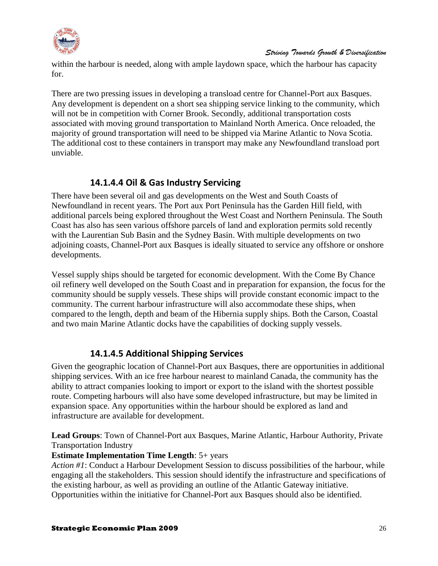

within the harbour is needed, along with ample laydown space, which the harbour has capacity for.

There are two pressing issues in developing a transload centre for Channel-Port aux Basques. Any development is dependent on a short sea shipping service linking to the community, which will not be in competition with Corner Brook. Secondly, additional transportation costs associated with moving ground transportation to Mainland North America. Once reloaded, the majority of ground transportation will need to be shipped via Marine Atlantic to Nova Scotia. The additional cost to these containers in transport may make any Newfoundland transload port unviable.

# **14.1.4.4 Oil & Gas Industry Servicing**

There have been several oil and gas developments on the West and South Coasts of Newfoundland in recent years. The Port aux Port Peninsula has the Garden Hill field, with additional parcels being explored throughout the West Coast and Northern Peninsula. The South Coast has also has seen various offshore parcels of land and exploration permits sold recently with the Laurentian Sub Basin and the Sydney Basin. With multiple developments on two adjoining coasts, Channel-Port aux Basques is ideally situated to service any offshore or onshore developments.

Vessel supply ships should be targeted for economic development. With the Come By Chance oil refinery well developed on the South Coast and in preparation for expansion, the focus for the community should be supply vessels. These ships will provide constant economic impact to the community. The current harbour infrastructure will also accommodate these ships, when compared to the length, depth and beam of the Hibernia supply ships. Both the Carson, Coastal and two main Marine Atlantic docks have the capabilities of docking supply vessels.

# **14.1.4.5 Additional Shipping Services**

Given the geographic location of Channel-Port aux Basques, there are opportunities in additional shipping services. With an ice free harbour nearest to mainland Canada, the community has the ability to attract companies looking to import or export to the island with the shortest possible route. Competing harbours will also have some developed infrastructure, but may be limited in expansion space. Any opportunities within the harbour should be explored as land and infrastructure are available for development.

**Lead Groups**: Town of Channel-Port aux Basques, Marine Atlantic, Harbour Authority, Private Transportation Industry

# **Estimate Implementation Time Length**: 5+ years

*Action #1*: Conduct a Harbour Development Session to discuss possibilities of the harbour, while engaging all the stakeholders. This session should identify the infrastructure and specifications of the existing harbour, as well as providing an outline of the Atlantic Gateway initiative. Opportunities within the initiative for Channel-Port aux Basques should also be identified.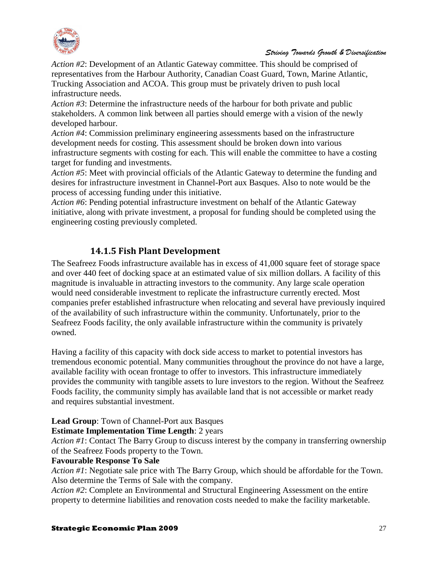

*Action #2*: Development of an Atlantic Gateway committee. This should be comprised of representatives from the Harbour Authority, Canadian Coast Guard, Town, Marine Atlantic, Trucking Association and ACOA. This group must be privately driven to push local infrastructure needs.

*Action #3*: Determine the infrastructure needs of the harbour for both private and public stakeholders. A common link between all parties should emerge with a vision of the newly developed harbour.

*Action #4*: Commission preliminary engineering assessments based on the infrastructure development needs for costing. This assessment should be broken down into various infrastructure segments with costing for each. This will enable the committee to have a costing target for funding and investments.

*Action #5*: Meet with provincial officials of the Atlantic Gateway to determine the funding and desires for infrastructure investment in Channel-Port aux Basques. Also to note would be the process of accessing funding under this initiative.

*Action #6*: Pending potential infrastructure investment on behalf of the Atlantic Gateway initiative, along with private investment, a proposal for funding should be completed using the engineering costing previously completed.

### **14.1.5 Fish Plant Development**

<span id="page-26-0"></span>The Seafreez Foods infrastructure available has in excess of 41,000 square feet of storage space and over 440 feet of docking space at an estimated value of six million dollars. A facility of this magnitude is invaluable in attracting investors to the community. Any large scale operation would need considerable investment to replicate the infrastructure currently erected. Most companies prefer established infrastructure when relocating and several have previously inquired of the availability of such infrastructure within the community. Unfortunately, prior to the Seafreez Foods facility, the only available infrastructure within the community is privately owned.

Having a facility of this capacity with dock side access to market to potential investors has tremendous economic potential. Many communities throughout the province do not have a large, available facility with ocean frontage to offer to investors. This infrastructure immediately provides the community with tangible assets to lure investors to the region. Without the Seafreez Foods facility, the community simply has available land that is not accessible or market ready and requires substantial investment.

# **Lead Group**: Town of Channel-Port aux Basques

#### **Estimate Implementation Time Length**: 2 years

*Action #1*: Contact The Barry Group to discuss interest by the company in transferring ownership of the Seafreez Foods property to the Town.

#### **Favourable Response To Sale**

*Action #1*: Negotiate sale price with The Barry Group, which should be affordable for the Town. Also determine the Terms of Sale with the company.

*Action #2*: Complete an Environmental and Structural Engineering Assessment on the entire property to determine liabilities and renovation costs needed to make the facility marketable.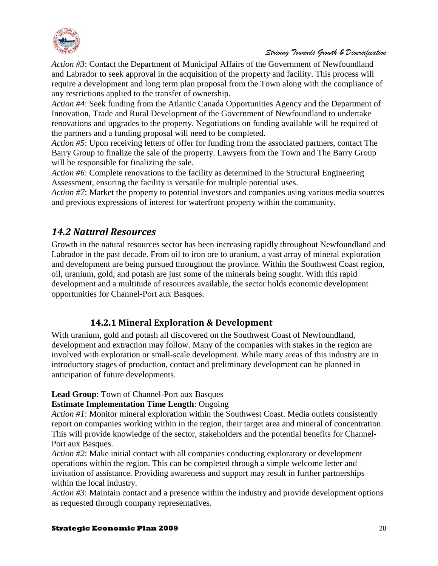

*Action #3*: Contact the Department of Municipal Affairs of the Government of Newfoundland and Labrador to seek approval in the acquisition of the property and facility. This process will require a development and long term plan proposal from the Town along with the compliance of any restrictions applied to the transfer of ownership.

*Action #4*: Seek funding from the Atlantic Canada Opportunities Agency and the Department of Innovation, Trade and Rural Development of the Government of Newfoundland to undertake renovations and upgrades to the property. Negotiations on funding available will be required of the partners and a funding proposal will need to be completed.

*Action #5*: Upon receiving letters of offer for funding from the associated partners, contact The Barry Group to finalize the sale of the property. Lawyers from the Town and The Barry Group will be responsible for finalizing the sale.

*Action #6*: Complete renovations to the facility as determined in the Structural Engineering Assessment, ensuring the facility is versatile for multiple potential uses.

*Action #7*: Market the property to potential investors and companies using various media sources and previous expressions of interest for waterfront property within the community.

# <span id="page-27-0"></span>*14.2 Natural Resources*

Growth in the natural resources sector has been increasing rapidly throughout Newfoundland and Labrador in the past decade. From oil to iron ore to uranium, a vast array of mineral exploration and development are being pursued throughout the province. Within the Southwest Coast region, oil, uranium, gold, and potash are just some of the minerals being sought. With this rapid development and a multitude of resources available, the sector holds economic development opportunities for Channel-Port aux Basques.

# **14.2.1 Mineral Exploration & Development**

<span id="page-27-1"></span>With uranium, gold and potash all discovered on the Southwest Coast of Newfoundland, development and extraction may follow. Many of the companies with stakes in the region are involved with exploration or small-scale development. While many areas of this industry are in introductory stages of production, contact and preliminary development can be planned in anticipation of future developments.

#### **Lead Group**: Town of Channel-Port aux Basques

#### **Estimate Implementation Time Length**: Ongoing

*Action #1*: Monitor mineral exploration within the Southwest Coast. Media outlets consistently report on companies working within in the region, their target area and mineral of concentration. This will provide knowledge of the sector, stakeholders and the potential benefits for Channel-Port aux Basques.

*Action #2*: Make initial contact with all companies conducting exploratory or development operations within the region. This can be completed through a simple welcome letter and invitation of assistance. Providing awareness and support may result in further partnerships within the local industry.

*Action #3*: Maintain contact and a presence within the industry and provide development options as requested through company representatives.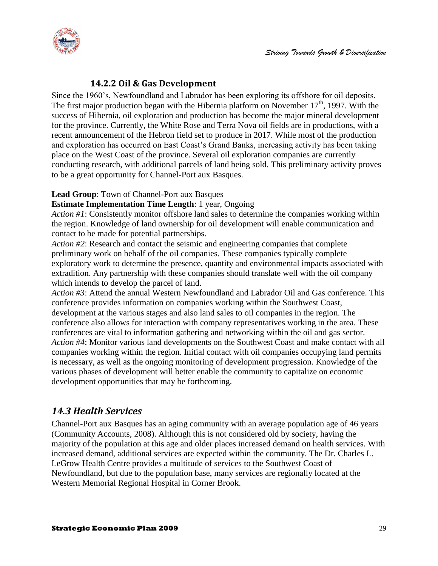

### **14.2.2 Oil & Gas Development**

<span id="page-28-0"></span>Since the 1960's, Newfoundland and Labrador has been exploring its offshore for oil deposits. The first major production began with the Hibernia platform on November  $17<sup>th</sup>$ , 1997. With the success of Hibernia, oil exploration and production has become the major mineral development for the province. Currently, the White Rose and Terra Nova oil fields are in productions, with a recent announcement of the Hebron field set to produce in 2017. While most of the production and exploration has occurred on East Coast's Grand Banks, increasing activity has been taking place on the West Coast of the province. Several oil exploration companies are currently conducting research, with additional parcels of land being sold. This preliminary activity proves to be a great opportunity for Channel-Port aux Basques.

#### **Lead Group**: Town of Channel-Port aux Basques

#### **Estimate Implementation Time Length**: 1 year, Ongoing

*Action #1*: Consistently monitor offshore land sales to determine the companies working within the region. Knowledge of land ownership for oil development will enable communication and contact to be made for potential partnerships.

*Action #2*: Research and contact the seismic and engineering companies that complete preliminary work on behalf of the oil companies. These companies typically complete exploratory work to determine the presence, quantity and environmental impacts associated with extradition. Any partnership with these companies should translate well with the oil company which intends to develop the parcel of land.

*Action #3*: Attend the annual Western Newfoundland and Labrador Oil and Gas conference. This conference provides information on companies working within the Southwest Coast, development at the various stages and also land sales to oil companies in the region. The conference also allows for interaction with company representatives working in the area. These conferences are vital to information gathering and networking within the oil and gas sector. *Action #4*: Monitor various land developments on the Southwest Coast and make contact with all companies working within the region. Initial contact with oil companies occupying land permits is necessary, as well as the ongoing monitoring of development progression. Knowledge of the various phases of development will better enable the community to capitalize on economic development opportunities that may be forthcoming.

# <span id="page-28-1"></span>*14.3 Health Services*

Channel-Port aux Basques has an aging community with an average population age of 46 years (Community Accounts, 2008). Although this is not considered old by society, having the majority of the population at this age and older places increased demand on health services. With increased demand, additional services are expected within the community. The Dr. Charles L. LeGrow Health Centre provides a multitude of services to the Southwest Coast of Newfoundland, but due to the population base, many services are regionally located at the Western Memorial Regional Hospital in Corner Brook.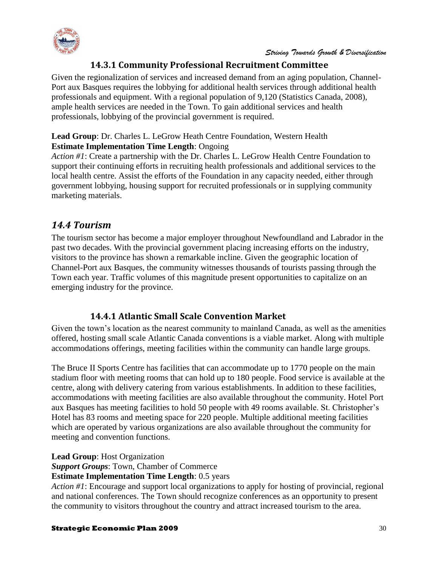

# **14.3.1 Community Professional Recruitment Committee**

<span id="page-29-0"></span>Given the regionalization of services and increased demand from an aging population, Channel-Port aux Basques requires the lobbying for additional health services through additional health professionals and equipment. With a regional population of 9,120 (Statistics Canada, 2008), ample health services are needed in the Town. To gain additional services and health professionals, lobbying of the provincial government is required.

#### **Lead Group**: Dr. Charles L. LeGrow Heath Centre Foundation, Western Health **Estimate Implementation Time Length**: Ongoing

*Action #1*: Create a partnership with the Dr. Charles L. LeGrow Health Centre Foundation to support their continuing efforts in recruiting health professionals and additional services to the local health centre. Assist the efforts of the Foundation in any capacity needed, either through government lobbying, housing support for recruited professionals or in supplying community marketing materials.

# <span id="page-29-1"></span>*14.4 Tourism*

The tourism sector has become a major employer throughout Newfoundland and Labrador in the past two decades. With the provincial government placing increasing efforts on the industry, visitors to the province has shown a remarkable incline. Given the geographic location of Channel-Port aux Basques, the community witnesses thousands of tourists passing through the Town each year. Traffic volumes of this magnitude present opportunities to capitalize on an emerging industry for the province.

# **14.4.1 Atlantic Small Scale Convention Market**

<span id="page-29-2"></span>Given the town's location as the nearest community to mainland Canada, as well as the amenities offered, hosting small scale Atlantic Canada conventions is a viable market. Along with multiple accommodations offerings, meeting facilities within the community can handle large groups.

The Bruce II Sports Centre has facilities that can accommodate up to 1770 people on the main stadium floor with meeting rooms that can hold up to 180 people. Food service is available at the centre, along with delivery catering from various establishments. In addition to these facilities, accommodations with meeting facilities are also available throughout the community. Hotel Port aux Basques has meeting facilities to hold 50 people with 49 rooms available. St. Christopher's Hotel has 83 rooms and meeting space for 220 people. Multiple additional meeting facilities which are operated by various organizations are also available throughout the community for meeting and convention functions.

**Lead Group**: Host Organization

*Support Groups*: Town, Chamber of Commerce

**Estimate Implementation Time Length**: 0.5 years

*Action #1*: Encourage and support local organizations to apply for hosting of provincial, regional and national conferences. The Town should recognize conferences as an opportunity to present the community to visitors throughout the country and attract increased tourism to the area.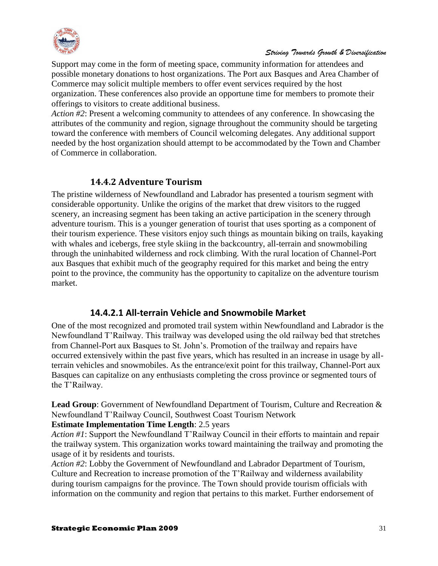

Support may come in the form of meeting space, community information for attendees and possible monetary donations to host organizations. The Port aux Basques and Area Chamber of Commerce may solicit multiple members to offer event services required by the host organization. These conferences also provide an opportune time for members to promote their offerings to visitors to create additional business.

*Action #2*: Present a welcoming community to attendees of any conference. In showcasing the attributes of the community and region, signage throughout the community should be targeting toward the conference with members of Council welcoming delegates. Any additional support needed by the host organization should attempt to be accommodated by the Town and Chamber of Commerce in collaboration.

#### **14.4.2 Adventure Tourism**

<span id="page-30-0"></span>The pristine wilderness of Newfoundland and Labrador has presented a tourism segment with considerable opportunity. Unlike the origins of the market that drew visitors to the rugged scenery, an increasing segment has been taking an active participation in the scenery through adventure tourism. This is a younger generation of tourist that uses sporting as a component of their tourism experience. These visitors enjoy such things as mountain biking on trails, kayaking with whales and icebergs, free style skiing in the backcountry, all-terrain and snowmobiling through the uninhabited wilderness and rock climbing. With the rural location of Channel-Port aux Basques that exhibit much of the geography required for this market and being the entry point to the province, the community has the opportunity to capitalize on the adventure tourism market.

#### **14.4.2.1 All-terrain Vehicle and Snowmobile Market**

One of the most recognized and promoted trail system within Newfoundland and Labrador is the Newfoundland T'Railway. This trailway was developed using the old railway bed that stretches from Channel-Port aux Basques to St. John's. Promotion of the trailway and repairs have occurred extensively within the past five years, which has resulted in an increase in usage by allterrain vehicles and snowmobiles. As the entrance/exit point for this trailway, Channel-Port aux Basques can capitalize on any enthusiasts completing the cross province or segmented tours of the T'Railway.

**Lead Group**: Government of Newfoundland Department of Tourism, Culture and Recreation & Newfoundland T'Railway Council, Southwest Coast Tourism Network

**Estimate Implementation Time Length**: 2.5 years

*Action #1*: Support the Newfoundland T'Railway Council in their efforts to maintain and repair the trailway system. This organization works toward maintaining the trailway and promoting the usage of it by residents and tourists.

*Action #2*: Lobby the Government of Newfoundland and Labrador Department of Tourism, Culture and Recreation to increase promotion of the T'Railway and wilderness availability during tourism campaigns for the province. The Town should provide tourism officials with information on the community and region that pertains to this market. Further endorsement of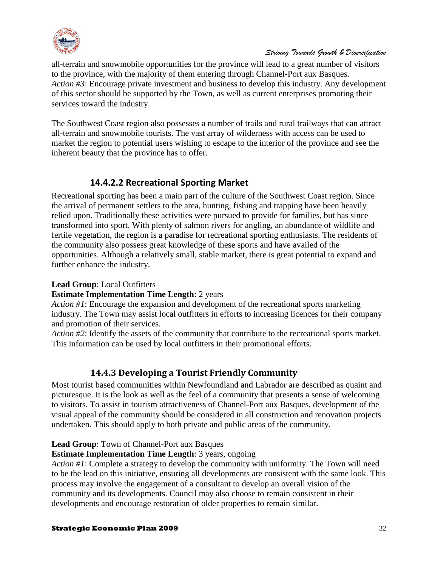

all-terrain and snowmobile opportunities for the province will lead to a great number of visitors to the province, with the majority of them entering through Channel-Port aux Basques. *Action #3*: Encourage private investment and business to develop this industry. Any development of this sector should be supported by the Town, as well as current enterprises promoting their services toward the industry.

The Southwest Coast region also possesses a number of trails and rural trailways that can attract all-terrain and snowmobile tourists. The vast array of wilderness with access can be used to market the region to potential users wishing to escape to the interior of the province and see the inherent beauty that the province has to offer.

# **14.4.2.2 Recreational Sporting Market**

Recreational sporting has been a main part of the culture of the Southwest Coast region. Since the arrival of permanent settlers to the area, hunting, fishing and trapping have been heavily relied upon. Traditionally these activities were pursued to provide for families, but has since transformed into sport. With plenty of salmon rivers for angling, an abundance of wildlife and fertile vegetation, the region is a paradise for recreational sporting enthusiasts. The residents of the community also possess great knowledge of these sports and have availed of the opportunities. Although a relatively small, stable market, there is great potential to expand and further enhance the industry.

#### **Lead Group**: Local Outfitters

#### **Estimate Implementation Time Length**: 2 years

*Action #1*: Encourage the expansion and development of the recreational sports marketing industry. The Town may assist local outfitters in efforts to increasing licences for their company and promotion of their services.

*Action #2*: Identify the assets of the community that contribute to the recreational sports market. This information can be used by local outfitters in their promotional efforts.

# **14.4.3 Developing a Tourist Friendly Community**

<span id="page-31-0"></span>Most tourist based communities within Newfoundland and Labrador are described as quaint and picturesque. It is the look as well as the feel of a community that presents a sense of welcoming to visitors. To assist in tourism attractiveness of Channel-Port aux Basques, development of the visual appeal of the community should be considered in all construction and renovation projects undertaken. This should apply to both private and public areas of the community.

#### **Lead Group**: Town of Channel-Port aux Basques

#### **Estimate Implementation Time Length**: 3 years, ongoing

*Action #1*: Complete a strategy to develop the community with uniformity. The Town will need to be the lead on this initiative, ensuring all developments are consistent with the same look. This process may involve the engagement of a consultant to develop an overall vision of the community and its developments. Council may also choose to remain consistent in their developments and encourage restoration of older properties to remain similar.

#### **Strategic Economic Plan 2009** 32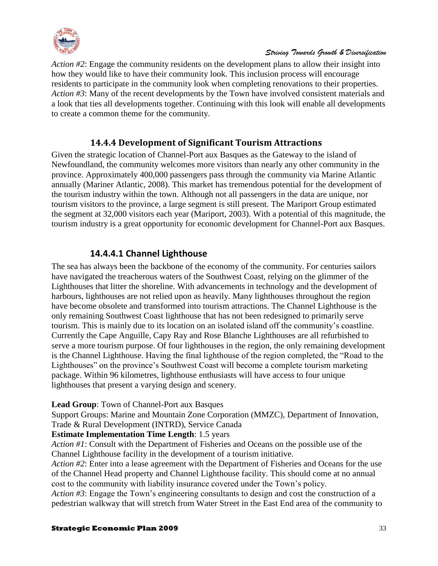

*Action #2*: Engage the community residents on the development plans to allow their insight into how they would like to have their community look. This inclusion process will encourage residents to participate in the community look when completing renovations to their properties. *Action #3*: Many of the recent developments by the Town have involved consistent materials and a look that ties all developments together. Continuing with this look will enable all developments to create a common theme for the community.

# **14.4.4 Development of Significant Tourism Attractions**

<span id="page-32-0"></span>Given the strategic location of Channel-Port aux Basques as the Gateway to the island of Newfoundland, the community welcomes more visitors than nearly any other community in the province. Approximately 400,000 passengers pass through the community via Marine Atlantic annually (Mariner Atlantic, 2008). This market has tremendous potential for the development of the tourism industry within the town. Although not all passengers in the data are unique, nor tourism visitors to the province, a large segment is still present. The Mariport Group estimated the segment at 32,000 visitors each year (Mariport, 2003). With a potential of this magnitude, the tourism industry is a great opportunity for economic development for Channel-Port aux Basques.

# **14.4.4.1 Channel Lighthouse**

The sea has always been the backbone of the economy of the community. For centuries sailors have navigated the treacherous waters of the Southwest Coast, relying on the glimmer of the Lighthouses that litter the shoreline. With advancements in technology and the development of harbours, lighthouses are not relied upon as heavily. Many lighthouses throughout the region have become obsolete and transformed into tourism attractions. The Channel Lighthouse is the only remaining Southwest Coast lighthouse that has not been redesigned to primarily serve tourism. This is mainly due to its location on an isolated island off the community's coastline. Currently the Cape Anguille, Capy Ray and Rose Blanche Lighthouses are all refurbished to serve a more tourism purpose. Of four lighthouses in the region, the only remaining development is the Channel Lighthouse. Having the final lighthouse of the region completed, the "Road to the Lighthouses" on the province's Southwest Coast will become a complete tourism marketing package. Within 96 kilometres, lighthouse enthusiasts will have access to four unique lighthouses that present a varying design and scenery.

#### **Lead Group**: Town of Channel-Port aux Basques

Support Groups: Marine and Mountain Zone Corporation (MMZC), Department of Innovation, Trade & Rural Development (INTRD), Service Canada

#### **Estimate Implementation Time Length**: 1.5 years

*Action #1*: Consult with the Department of Fisheries and Oceans on the possible use of the Channel Lighthouse facility in the development of a tourism initiative.

*Action #2*: Enter into a lease agreement with the Department of Fisheries and Oceans for the use of the Channel Head property and Channel Lighthouse facility. This should come at no annual cost to the community with liability insurance covered under the Town's policy.

*Action #3*: Engage the Town's engineering consultants to design and cost the construction of a pedestrian walkway that will stretch from Water Street in the East End area of the community to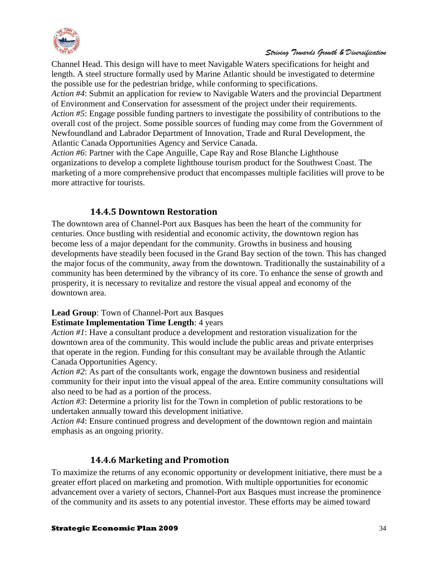

Channel Head. This design will have to meet Navigable Waters specifications for height and length. A steel structure formally used by Marine Atlantic should be investigated to determine the possible use for the pedestrian bridge, while conforming to specifications.

*Action #4*: Submit an application for review to Navigable Waters and the provincial Department of Environment and Conservation for assessment of the project under their requirements. *Action #5*: Engage possible funding partners to investigate the possibility of contributions to the overall cost of the project. Some possible sources of funding may come from the Government of Newfoundland and Labrador Department of Innovation, Trade and Rural Development, the Atlantic Canada Opportunities Agency and Service Canada.

*Action #6*: Partner with the Cape Anguille, Cape Ray and Rose Blanche Lighthouse organizations to develop a complete lighthouse tourism product for the Southwest Coast. The marketing of a more comprehensive product that encompasses multiple facilities will prove to be more attractive for tourists.

# **14.4.5 Downtown Restoration**

<span id="page-33-0"></span>The downtown area of Channel-Port aux Basques has been the heart of the community for centuries. Once bustling with residential and economic activity, the downtown region has become less of a major dependant for the community. Growths in business and housing developments have steadily been focused in the Grand Bay section of the town. This has changed the major focus of the community, away from the downtown. Traditionally the sustainability of a community has been determined by the vibrancy of its core. To enhance the sense of growth and prosperity, it is necessary to revitalize and restore the visual appeal and economy of the downtown area.

#### **Lead Group**: Town of Channel-Port aux Basques

#### **Estimate Implementation Time Length**: 4 years

*Action #1*: Have a consultant produce a development and restoration visualization for the downtown area of the community. This would include the public areas and private enterprises that operate in the region. Funding for this consultant may be available through the Atlantic Canada Opportunities Agency.

*Action #2*: As part of the consultants work, engage the downtown business and residential community for their input into the visual appeal of the area. Entire community consultations will also need to be had as a portion of the process.

*Action #3*: Determine a priority list for the Town in completion of public restorations to be undertaken annually toward this development initiative.

*Action #4*: Ensure continued progress and development of the downtown region and maintain emphasis as an ongoing priority.

# **14.4.6 Marketing and Promotion**

<span id="page-33-1"></span>To maximize the returns of any economic opportunity or development initiative, there must be a greater effort placed on marketing and promotion. With multiple opportunities for economic advancement over a variety of sectors, Channel-Port aux Basques must increase the prominence of the community and its assets to any potential investor. These efforts may be aimed toward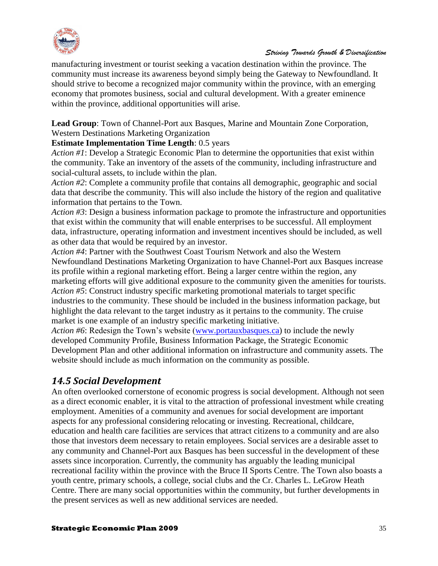

manufacturing investment or tourist seeking a vacation destination within the province. The community must increase its awareness beyond simply being the Gateway to Newfoundland. It should strive to become a recognized major community within the province, with an emerging economy that promotes business, social and cultural development. With a greater eminence within the province, additional opportunities will arise.

**Lead Group**: Town of Channel-Port aux Basques, Marine and Mountain Zone Corporation, Western Destinations Marketing Organization

# **Estimate Implementation Time Length**: 0.5 years

*Action #1*: Develop a Strategic Economic Plan to determine the opportunities that exist within the community. Take an inventory of the assets of the community, including infrastructure and social-cultural assets, to include within the plan.

*Action #2*: Complete a community profile that contains all demographic, geographic and social data that describe the community. This will also include the history of the region and qualitative information that pertains to the Town.

*Action #3*: Design a business information package to promote the infrastructure and opportunities that exist within the community that will enable enterprises to be successful. All employment data, infrastructure, operating information and investment incentives should be included, as well as other data that would be required by an investor.

*Action #4*: Partner with the Southwest Coast Tourism Network and also the Western Newfoundland Destinations Marketing Organization to have Channel-Port aux Basques increase its profile within a regional marketing effort. Being a larger centre within the region, any marketing efforts will give additional exposure to the community given the amenities for tourists. *Action #5*: Construct industry specific marketing promotional materials to target specific industries to the community. These should be included in the business information package, but highlight the data relevant to the target industry as it pertains to the community. The cruise market is one example of an industry specific marketing initiative.

*Action #6*: Redesign the Town's website [\(www.portauxbasques.ca\)](http://www.portauxbasques.ca/) to include the newly developed Community Profile, Business Information Package, the Strategic Economic Development Plan and other additional information on infrastructure and community assets. The website should include as much information on the community as possible.

# <span id="page-34-0"></span>*14.5 Social Development*

An often overlooked cornerstone of economic progress is social development. Although not seen as a direct economic enabler, it is vital to the attraction of professional investment while creating employment. Amenities of a community and avenues for social development are important aspects for any professional considering relocating or investing. Recreational, childcare, education and health care facilities are services that attract citizens to a community and are also those that investors deem necessary to retain employees. Social services are a desirable asset to any community and Channel-Port aux Basques has been successful in the development of these assets since incorporation. Currently, the community has arguably the leading municipal recreational facility within the province with the Bruce II Sports Centre. The Town also boasts a youth centre, primary schools, a college, social clubs and the Cr. Charles L. LeGrow Heath Centre. There are many social opportunities within the community, but further developments in the present services as well as new additional services are needed.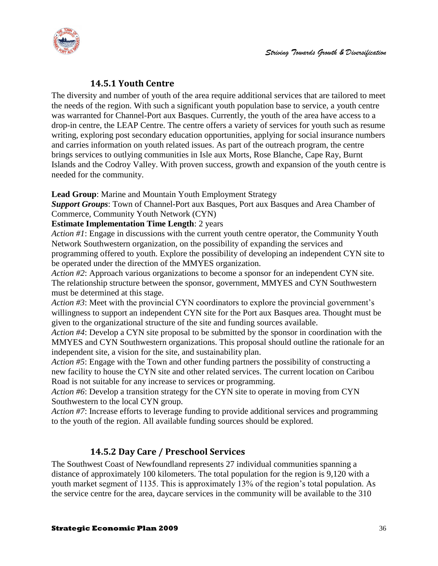

### **14.5.1 Youth Centre**

<span id="page-35-0"></span>The diversity and number of youth of the area require additional services that are tailored to meet the needs of the region. With such a significant youth population base to service, a youth centre was warranted for Channel-Port aux Basques. Currently, the youth of the area have access to a drop-in centre, the LEAP Centre. The centre offers a variety of services for youth such as resume writing, exploring post secondary education opportunities, applying for social insurance numbers and carries information on youth related issues. As part of the outreach program, the centre brings services to outlying communities in Isle aux Morts, Rose Blanche, Cape Ray, Burnt Islands and the Codroy Valley. With proven success, growth and expansion of the youth centre is needed for the community.

#### **Lead Group**: Marine and Mountain Youth Employment Strategy

*Support Groups*: Town of Channel-Port aux Basques, Port aux Basques and Area Chamber of Commerce, Community Youth Network (CYN)

#### **Estimate Implementation Time Length**: 2 years

*Action #1*: Engage in discussions with the current youth centre operator, the Community Youth Network Southwestern organization, on the possibility of expanding the services and programming offered to youth. Explore the possibility of developing an independent CYN site to be operated under the direction of the MMYES organization.

*Action #2*: Approach various organizations to become a sponsor for an independent CYN site. The relationship structure between the sponsor, government, MMYES and CYN Southwestern must be determined at this stage.

*Action #3*: Meet with the provincial CYN coordinators to explore the provincial government's willingness to support an independent CYN site for the Port aux Basques area. Thought must be given to the organizational structure of the site and funding sources available.

*Action #4*: Develop a CYN site proposal to be submitted by the sponsor in coordination with the MMYES and CYN Southwestern organizations. This proposal should outline the rationale for an independent site, a vision for the site, and sustainability plan.

*Action #5*: Engage with the Town and other funding partners the possibility of constructing a new facility to house the CYN site and other related services. The current location on Caribou Road is not suitable for any increase to services or programming.

*Action #6*: Develop a transition strategy for the CYN site to operate in moving from CYN Southwestern to the local CYN group.

*Action #7*: Increase efforts to leverage funding to provide additional services and programming to the youth of the region. All available funding sources should be explored.

# **14.5.2 Day Care / Preschool Services**

<span id="page-35-1"></span>The Southwest Coast of Newfoundland represents 27 individual communities spanning a distance of approximately 100 kilometers. The total population for the region is 9,120 with a youth market segment of 1135. This is approximately 13% of the region's total population. As the service centre for the area, daycare services in the community will be available to the 310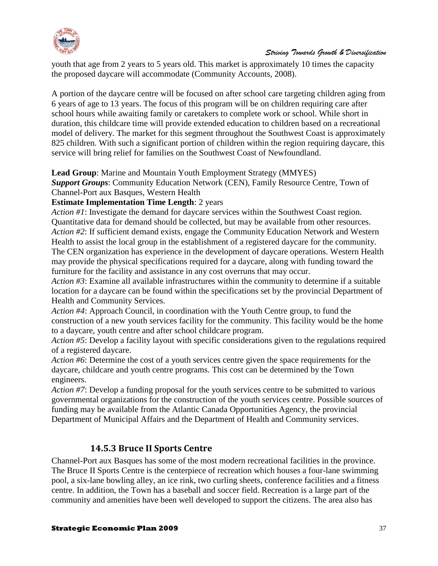

youth that age from 2 years to 5 years old. This market is approximately 10 times the capacity the proposed daycare will accommodate (Community Accounts, 2008).

A portion of the daycare centre will be focused on after school care targeting children aging from 6 years of age to 13 years. The focus of this program will be on children requiring care after school hours while awaiting family or caretakers to complete work or school. While short in duration, this childcare time will provide extended education to children based on a recreational model of delivery. The market for this segment throughout the Southwest Coast is approximately 825 children. With such a significant portion of children within the region requiring daycare, this service will bring relief for families on the Southwest Coast of Newfoundland.

#### **Lead Group**: Marine and Mountain Youth Employment Strategy (MMYES)

*Support Groups*: Community Education Network (CEN), Family Resource Centre, Town of Channel-Port aux Basques, Western Health

#### **Estimate Implementation Time Length**: 2 years

*Action #1*: Investigate the demand for daycare services within the Southwest Coast region. Quantitative data for demand should be collected, but may be available from other resources. *Action #2*: If sufficient demand exists, engage the Community Education Network and Western Health to assist the local group in the establishment of a registered daycare for the community. The CEN organization has experience in the development of daycare operations. Western Health may provide the physical specifications required for a daycare, along with funding toward the furniture for the facility and assistance in any cost overruns that may occur.

*Action #3*: Examine all available infrastructures within the community to determine if a suitable location for a daycare can be found within the specifications set by the provincial Department of Health and Community Services.

*Action #4*: Approach Council, in coordination with the Youth Centre group, to fund the construction of a new youth services facility for the community. This facility would be the home to a daycare, youth centre and after school childcare program.

*Action #5*: Develop a facility layout with specific considerations given to the regulations required of a registered daycare.

*Action #6*: Determine the cost of a youth services centre given the space requirements for the daycare, childcare and youth centre programs. This cost can be determined by the Town engineers.

*Action #7*: Develop a funding proposal for the youth services centre to be submitted to various governmental organizations for the construction of the youth services centre. Possible sources of funding may be available from the Atlantic Canada Opportunities Agency, the provincial Department of Municipal Affairs and the Department of Health and Community services.

# **14.5.3 Bruce II Sports Centre**

<span id="page-36-0"></span>Channel-Port aux Basques has some of the most modern recreational facilities in the province. The Bruce II Sports Centre is the centerpiece of recreation which houses a four-lane swimming pool, a six-lane bowling alley, an ice rink, two curling sheets, conference facilities and a fitness centre. In addition, the Town has a baseball and soccer field. Recreation is a large part of the community and amenities have been well developed to support the citizens. The area also has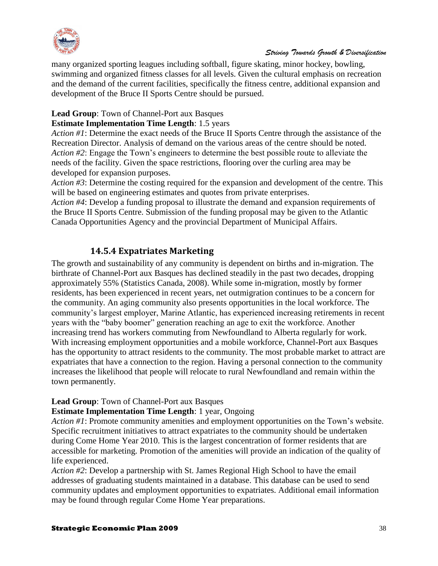

many organized sporting leagues including softball, figure skating, minor hockey, bowling, swimming and organized fitness classes for all levels. Given the cultural emphasis on recreation and the demand of the current facilities, specifically the fitness centre, additional expansion and development of the Bruce II Sports Centre should be pursued.

#### **Lead Group**: Town of Channel-Port aux Basques

#### **Estimate Implementation Time Length**: 1.5 years

*Action #1*: Determine the exact needs of the Bruce II Sports Centre through the assistance of the Recreation Director. Analysis of demand on the various areas of the centre should be noted. *Action #2*: Engage the Town's engineers to determine the best possible route to alleviate the needs of the facility. Given the space restrictions, flooring over the curling area may be developed for expansion purposes.

*Action #3*: Determine the costing required for the expansion and development of the centre. This will be based on engineering estimates and quotes from private enterprises.

*Action #4*: Develop a funding proposal to illustrate the demand and expansion requirements of the Bruce II Sports Centre. Submission of the funding proposal may be given to the Atlantic Canada Opportunities Agency and the provincial Department of Municipal Affairs.

#### **14.5.4 Expatriates Marketing**

<span id="page-37-0"></span>The growth and sustainability of any community is dependent on births and in-migration. The birthrate of Channel-Port aux Basques has declined steadily in the past two decades, dropping approximately 55% (Statistics Canada, 2008). While some in-migration, mostly by former residents, has been experienced in recent years, net outmigration continues to be a concern for the community. An aging community also presents opportunities in the local workforce. The community's largest employer, Marine Atlantic, has experienced increasing retirements in recent years with the "baby boomer" generation reaching an age to exit the workforce. Another increasing trend has workers commuting from Newfoundland to Alberta regularly for work. With increasing employment opportunities and a mobile workforce, Channel-Port aux Basques has the opportunity to attract residents to the community. The most probable market to attract are expatriates that have a connection to the region. Having a personal connection to the community increases the likelihood that people will relocate to rural Newfoundland and remain within the town permanently.

#### **Lead Group**: Town of Channel-Port aux Basques

#### **Estimate Implementation Time Length**: 1 year, Ongoing

*Action #1*: Promote community amenities and employment opportunities on the Town's website. Specific recruitment initiatives to attract expatriates to the community should be undertaken during Come Home Year 2010. This is the largest concentration of former residents that are accessible for marketing. Promotion of the amenities will provide an indication of the quality of life experienced.

*Action #2*: Develop a partnership with St. James Regional High School to have the email addresses of graduating students maintained in a database. This database can be used to send community updates and employment opportunities to expatriates. Additional email information may be found through regular Come Home Year preparations.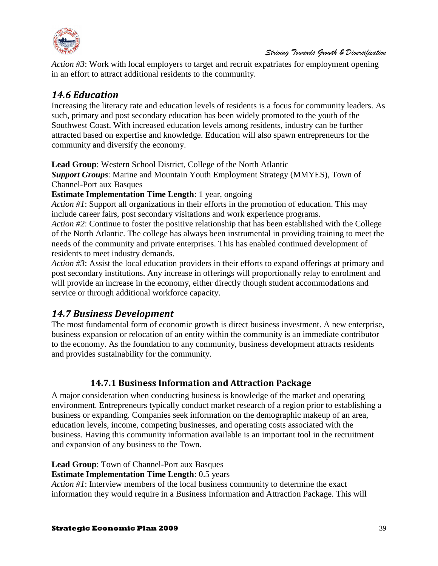

*Action #3*: Work with local employers to target and recruit expatriates for employment opening in an effort to attract additional residents to the community.

# <span id="page-38-0"></span>*14.6 Education*

Increasing the literacy rate and education levels of residents is a focus for community leaders. As such, primary and post secondary education has been widely promoted to the youth of the Southwest Coast. With increased education levels among residents, industry can be further attracted based on expertise and knowledge. Education will also spawn entrepreneurs for the community and diversify the economy.

**Lead Group**: Western School District, College of the North Atlantic

*Support Groups*: Marine and Mountain Youth Employment Strategy (MMYES), Town of Channel-Port aux Basques

#### **Estimate Implementation Time Length**: 1 year, ongoing

*Action #1*: Support all organizations in their efforts in the promotion of education. This may include career fairs, post secondary visitations and work experience programs.

*Action #2*: Continue to foster the positive relationship that has been established with the College of the North Atlantic. The college has always been instrumental in providing training to meet the needs of the community and private enterprises. This has enabled continued development of residents to meet industry demands.

*Action #3*: Assist the local education providers in their efforts to expand offerings at primary and post secondary institutions. Any increase in offerings will proportionally relay to enrolment and will provide an increase in the economy, either directly though student accommodations and service or through additional workforce capacity.

# <span id="page-38-1"></span>*14.7 Business Development*

The most fundamental form of economic growth is direct business investment. A new enterprise, business expansion or relocation of an entity within the community is an immediate contributor to the economy. As the foundation to any community, business development attracts residents and provides sustainability for the community.

# **14.7.1 Business Information and Attraction Package**

<span id="page-38-2"></span>A major consideration when conducting business is knowledge of the market and operating environment. Entrepreneurs typically conduct market research of a region prior to establishing a business or expanding. Companies seek information on the demographic makeup of an area, education levels, income, competing businesses, and operating costs associated with the business. Having this community information available is an important tool in the recruitment and expansion of any business to the Town.

**Lead Group**: Town of Channel-Port aux Basques

#### **Estimate Implementation Time Length**: 0.5 years

*Action #1*: Interview members of the local business community to determine the exact information they would require in a Business Information and Attraction Package. This will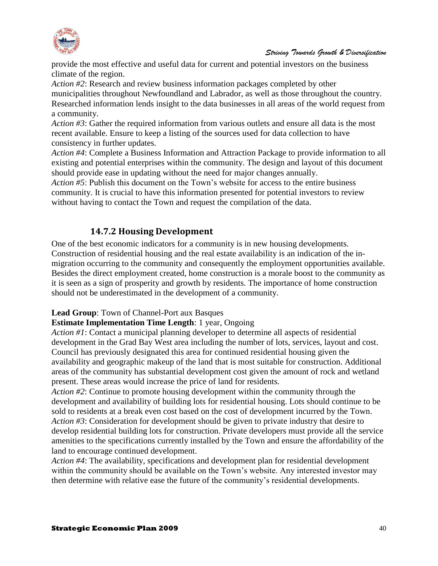

provide the most effective and useful data for current and potential investors on the business climate of the region.

*Action #2*: Research and review business information packages completed by other municipalities throughout Newfoundland and Labrador, as well as those throughout the country. Researched information lends insight to the data businesses in all areas of the world request from a community.

*Action #3*: Gather the required information from various outlets and ensure all data is the most recent available. Ensure to keep a listing of the sources used for data collection to have consistency in further updates.

*Action #4*: Complete a Business Information and Attraction Package to provide information to all existing and potential enterprises within the community. The design and layout of this document should provide ease in updating without the need for major changes annually.

*Action #5*: Publish this document on the Town's website for access to the entire business community. It is crucial to have this information presented for potential investors to review without having to contact the Town and request the compilation of the data.

# **14.7.2 Housing Development**

<span id="page-39-0"></span>One of the best economic indicators for a community is in new housing developments. Construction of residential housing and the real estate availability is an indication of the inmigration occurring to the community and consequently the employment opportunities available. Besides the direct employment created, home construction is a morale boost to the community as it is seen as a sign of prosperity and growth by residents. The importance of home construction should not be underestimated in the development of a community.

#### **Lead Group**: Town of Channel-Port aux Basques

#### **Estimate Implementation Time Length**: 1 year, Ongoing

*Action #1*: Contact a municipal planning developer to determine all aspects of residential development in the Grad Bay West area including the number of lots, services, layout and cost. Council has previously designated this area for continued residential housing given the availability and geographic makeup of the land that is most suitable for construction. Additional areas of the community has substantial development cost given the amount of rock and wetland present. These areas would increase the price of land for residents.

*Action #2*: Continue to promote housing development within the community through the development and availability of building lots for residential housing. Lots should continue to be sold to residents at a break even cost based on the cost of development incurred by the Town. *Action #3*: Consideration for development should be given to private industry that desire to develop residential building lots for construction. Private developers must provide all the service amenities to the specifications currently installed by the Town and ensure the affordability of the land to encourage continued development.

*Action #4*: The availability, specifications and development plan for residential development within the community should be available on the Town's website. Any interested investor may then determine with relative ease the future of the community's residential developments.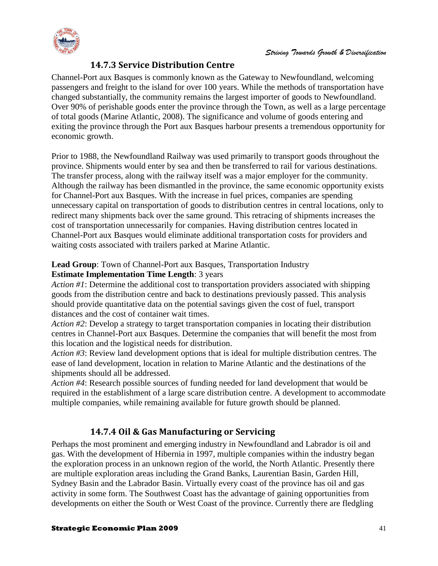

### **14.7.3 Service Distribution Centre**

<span id="page-40-0"></span>Channel-Port aux Basques is commonly known as the Gateway to Newfoundland, welcoming passengers and freight to the island for over 100 years. While the methods of transportation have changed substantially, the community remains the largest importer of goods to Newfoundland. Over 90% of perishable goods enter the province through the Town, as well as a large percentage of total goods (Marine Atlantic, 2008). The significance and volume of goods entering and exiting the province through the Port aux Basques harbour presents a tremendous opportunity for economic growth.

Prior to 1988, the Newfoundland Railway was used primarily to transport goods throughout the province. Shipments would enter by sea and then be transferred to rail for various destinations. The transfer process, along with the railway itself was a major employer for the community. Although the railway has been dismantled in the province, the same economic opportunity exists for Channel-Port aux Basques. With the increase in fuel prices, companies are spending unnecessary capital on transportation of goods to distribution centres in central locations, only to redirect many shipments back over the same ground. This retracing of shipments increases the cost of transportation unnecessarily for companies. Having distribution centres located in Channel-Port aux Basques would eliminate additional transportation costs for providers and waiting costs associated with trailers parked at Marine Atlantic.

#### **Lead Group**: Town of Channel-Port aux Basques, Transportation Industry **Estimate Implementation Time Length**: 3 years

*Action #1*: Determine the additional cost to transportation providers associated with shipping goods from the distribution centre and back to destinations previously passed. This analysis should provide quantitative data on the potential savings given the cost of fuel, transport distances and the cost of container wait times.

*Action #2*: Develop a strategy to target transportation companies in locating their distribution centres in Channel-Port aux Basques. Determine the companies that will benefit the most from this location and the logistical needs for distribution.

*Action #3*: Review land development options that is ideal for multiple distribution centres. The ease of land development, location in relation to Marine Atlantic and the destinations of the shipments should all be addressed.

*Action #4*: Research possible sources of funding needed for land development that would be required in the establishment of a large scare distribution centre. A development to accommodate multiple companies, while remaining available for future growth should be planned.

# **14.7.4 Oil & Gas Manufacturing or Servicing**

<span id="page-40-1"></span>Perhaps the most prominent and emerging industry in Newfoundland and Labrador is oil and gas. With the development of Hibernia in 1997, multiple companies within the industry began the exploration process in an unknown region of the world, the North Atlantic. Presently there are multiple exploration areas including the Grand Banks, Laurentian Basin, Garden Hill, Sydney Basin and the Labrador Basin. Virtually every coast of the province has oil and gas activity in some form. The Southwest Coast has the advantage of gaining opportunities from developments on either the South or West Coast of the province. Currently there are fledgling

#### **Strategic Economic Plan 2009** 41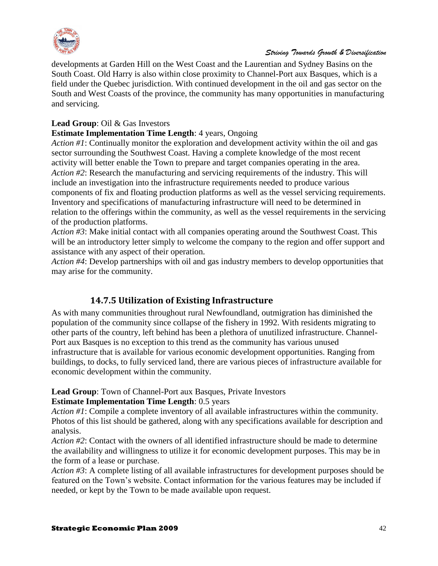

developments at Garden Hill on the West Coast and the Laurentian and Sydney Basins on the South Coast. Old Harry is also within close proximity to Channel-Port aux Basques, which is a field under the Quebec jurisdiction. With continued development in the oil and gas sector on the South and West Coasts of the province, the community has many opportunities in manufacturing and servicing.

#### **Lead Group**: Oil & Gas Investors

#### **Estimate Implementation Time Length**: 4 years, Ongoing

*Action #1*: Continually monitor the exploration and development activity within the oil and gas sector surrounding the Southwest Coast. Having a complete knowledge of the most recent activity will better enable the Town to prepare and target companies operating in the area. *Action #2*: Research the manufacturing and servicing requirements of the industry. This will include an investigation into the infrastructure requirements needed to produce various components of fix and floating production platforms as well as the vessel servicing requirements. Inventory and specifications of manufacturing infrastructure will need to be determined in relation to the offerings within the community, as well as the vessel requirements in the servicing of the production platforms.

*Action #3*: Make initial contact with all companies operating around the Southwest Coast. This will be an introductory letter simply to welcome the company to the region and offer support and assistance with any aspect of their operation.

*Action #4*: Develop partnerships with oil and gas industry members to develop opportunities that may arise for the community.

#### **14.7.5 Utilization of Existing Infrastructure**

<span id="page-41-0"></span>As with many communities throughout rural Newfoundland, outmigration has diminished the population of the community since collapse of the fishery in 1992. With residents migrating to other parts of the country, left behind has been a plethora of unutilized infrastructure. Channel-Port aux Basques is no exception to this trend as the community has various unused infrastructure that is available for various economic development opportunities. Ranging from buildings, to docks, to fully serviced land, there are various pieces of infrastructure available for economic development within the community.

#### **Lead Group**: Town of Channel-Port aux Basques, Private Investors

#### **Estimate Implementation Time Length**: 0.5 years

*Action #1*: Compile a complete inventory of all available infrastructures within the community. Photos of this list should be gathered, along with any specifications available for description and analysis.

*Action #2*: Contact with the owners of all identified infrastructure should be made to determine the availability and willingness to utilize it for economic development purposes. This may be in the form of a lease or purchase.

*Action #3*: A complete listing of all available infrastructures for development purposes should be featured on the Town's website. Contact information for the various features may be included if needed, or kept by the Town to be made available upon request.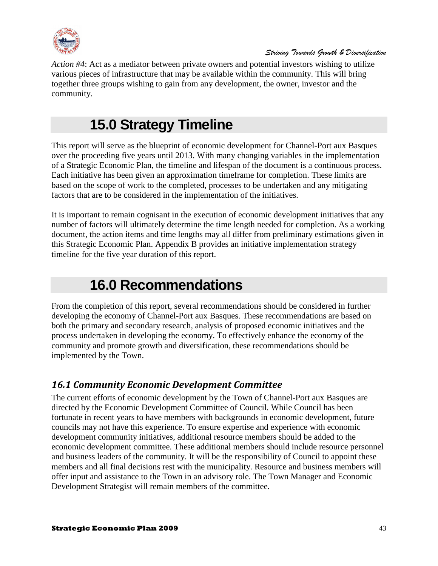

*Action #4*: Act as a mediator between private owners and potential investors wishing to utilize various pieces of infrastructure that may be available within the community. This will bring together three groups wishing to gain from any development, the owner, investor and the community.

# **15.0 Strategy Timeline**

<span id="page-42-0"></span>This report will serve as the blueprint of economic development for Channel-Port aux Basques over the proceeding five years until 2013. With many changing variables in the implementation of a Strategic Economic Plan, the timeline and lifespan of the document is a continuous process. Each initiative has been given an approximation timeframe for completion. These limits are based on the scope of work to the completed, processes to be undertaken and any mitigating factors that are to be considered in the implementation of the initiatives.

It is important to remain cognisant in the execution of economic development initiatives that any number of factors will ultimately determine the time length needed for completion. As a working document, the action items and time lengths may all differ from preliminary estimations given in this Strategic Economic Plan. Appendix B provides an initiative implementation strategy timeline for the five year duration of this report.

# **16.0 Recommendations**

<span id="page-42-1"></span>From the completion of this report, several recommendations should be considered in further developing the economy of Channel-Port aux Basques. These recommendations are based on both the primary and secondary research, analysis of proposed economic initiatives and the process undertaken in developing the economy. To effectively enhance the economy of the community and promote growth and diversification, these recommendations should be implemented by the Town.

# <span id="page-42-2"></span>*16.1 Community Economic Development Committee*

The current efforts of economic development by the Town of Channel-Port aux Basques are directed by the Economic Development Committee of Council. While Council has been fortunate in recent years to have members with backgrounds in economic development, future councils may not have this experience. To ensure expertise and experience with economic development community initiatives, additional resource members should be added to the economic development committee. These additional members should include resource personnel and business leaders of the community. It will be the responsibility of Council to appoint these members and all final decisions rest with the municipality. Resource and business members will offer input and assistance to the Town in an advisory role. The Town Manager and Economic Development Strategist will remain members of the committee.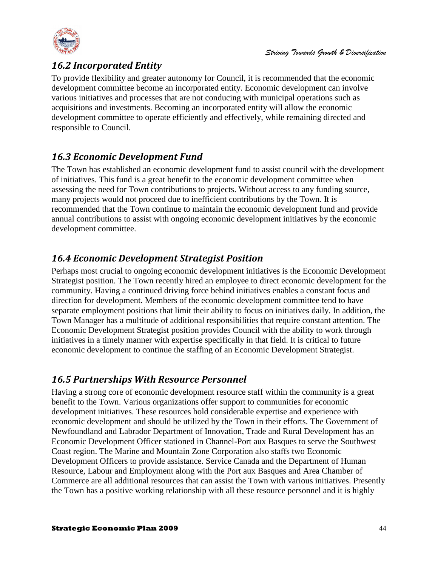



# <span id="page-43-0"></span>*16.2 Incorporated Entity*

To provide flexibility and greater autonomy for Council, it is recommended that the economic development committee become an incorporated entity. Economic development can involve various initiatives and processes that are not conducing with municipal operations such as acquisitions and investments. Becoming an incorporated entity will allow the economic development committee to operate efficiently and effectively, while remaining directed and responsible to Council.

# <span id="page-43-1"></span>*16.3 Economic Development Fund*

The Town has established an economic development fund to assist council with the development of initiatives. This fund is a great benefit to the economic development committee when assessing the need for Town contributions to projects. Without access to any funding source, many projects would not proceed due to inefficient contributions by the Town. It is recommended that the Town continue to maintain the economic development fund and provide annual contributions to assist with ongoing economic development initiatives by the economic development committee.

# <span id="page-43-2"></span>*16.4 Economic Development Strategist Position*

Perhaps most crucial to ongoing economic development initiatives is the Economic Development Strategist position. The Town recently hired an employee to direct economic development for the community. Having a continued driving force behind initiatives enables a constant focus and direction for development. Members of the economic development committee tend to have separate employment positions that limit their ability to focus on initiatives daily. In addition, the Town Manager has a multitude of additional responsibilities that require constant attention. The Economic Development Strategist position provides Council with the ability to work through initiatives in a timely manner with expertise specifically in that field. It is critical to future economic development to continue the staffing of an Economic Development Strategist.

# <span id="page-43-3"></span>*16.5 Partnerships With Resource Personnel*

Having a strong core of economic development resource staff within the community is a great benefit to the Town. Various organizations offer support to communities for economic development initiatives. These resources hold considerable expertise and experience with economic development and should be utilized by the Town in their efforts. The Government of Newfoundland and Labrador Department of Innovation, Trade and Rural Development has an Economic Development Officer stationed in Channel-Port aux Basques to serve the Southwest Coast region. The Marine and Mountain Zone Corporation also staffs two Economic Development Officers to provide assistance. Service Canada and the Department of Human Resource, Labour and Employment along with the Port aux Basques and Area Chamber of Commerce are all additional resources that can assist the Town with various initiatives. Presently the Town has a positive working relationship with all these resource personnel and it is highly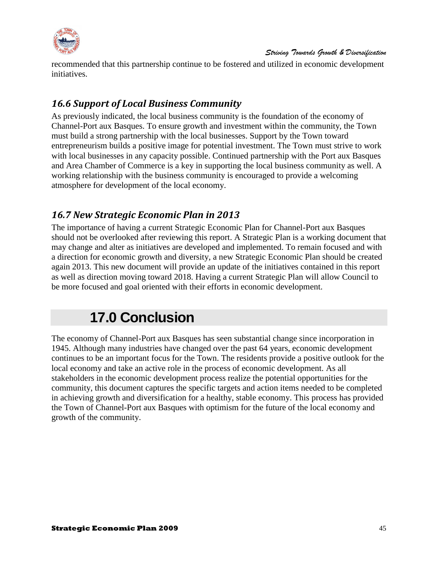

recommended that this partnership continue to be fostered and utilized in economic development initiatives.

# <span id="page-44-0"></span>*16.6 Support of Local Business Community*

As previously indicated, the local business community is the foundation of the economy of Channel-Port aux Basques. To ensure growth and investment within the community, the Town must build a strong partnership with the local businesses. Support by the Town toward entrepreneurism builds a positive image for potential investment. The Town must strive to work with local businesses in any capacity possible. Continued partnership with the Port aux Basques and Area Chamber of Commerce is a key in supporting the local business community as well. A working relationship with the business community is encouraged to provide a welcoming atmosphere for development of the local economy.

# <span id="page-44-1"></span>*16.7 New Strategic Economic Plan in 2013*

The importance of having a current Strategic Economic Plan for Channel-Port aux Basques should not be overlooked after reviewing this report. A Strategic Plan is a working document that may change and alter as initiatives are developed and implemented. To remain focused and with a direction for economic growth and diversity, a new Strategic Economic Plan should be created again 2013. This new document will provide an update of the initiatives contained in this report as well as direction moving toward 2018. Having a current Strategic Plan will allow Council to be more focused and goal oriented with their efforts in economic development.

# **17.0 Conclusion**

<span id="page-44-2"></span>The economy of Channel-Port aux Basques has seen substantial change since incorporation in 1945. Although many industries have changed over the past 64 years, economic development continues to be an important focus for the Town. The residents provide a positive outlook for the local economy and take an active role in the process of economic development. As all stakeholders in the economic development process realize the potential opportunities for the community, this document captures the specific targets and action items needed to be completed in achieving growth and diversification for a healthy, stable economy. This process has provided the Town of Channel-Port aux Basques with optimism for the future of the local economy and growth of the community.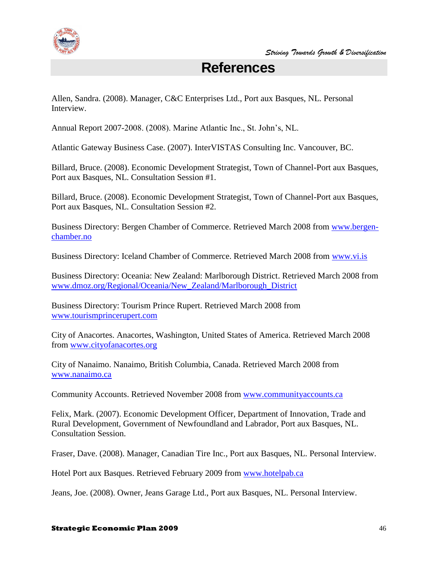<span id="page-45-0"></span>

# **References**

Allen, Sandra. (2008). Manager, C&C Enterprises Ltd., Port aux Basques, NL. Personal Interview.

Annual Report 2007-2008. (2008). Marine Atlantic Inc., St. John's, NL.

Atlantic Gateway Business Case. (2007). InterVISTAS Consulting Inc. Vancouver, BC.

Billard, Bruce. (2008). Economic Development Strategist, Town of Channel-Port aux Basques, Port aux Basques, NL. Consultation Session #1.

Billard, Bruce. (2008). Economic Development Strategist, Town of Channel-Port aux Basques, Port aux Basques, NL. Consultation Session #2.

Business Directory: Bergen Chamber of Commerce. Retrieved March 2008 from [www.bergen](http://www.bergen-chamber.no/)[chamber.no](http://www.bergen-chamber.no/)

Business Directory: Iceland Chamber of Commerce. Retrieved March 2008 from [www.vi.is](http://www.vi.is/)

Business Directory: Oceania: New Zealand: Marlborough District. Retrieved March 2008 from [www.dmoz.org/Regional/Oceania/New\\_Zealand/Marlborough\\_District](http://www.dmoz.org/Regional/Oceania/New_Zealand/Marlborough_District)

Business Directory: Tourism Prince Rupert. Retrieved March 2008 from [www.tourismprincerupert.com](http://www.tourismprincerupert.com/)

City of Anacortes. Anacortes, Washington, United States of America. Retrieved March 2008 from [www.cityofanacortes.org](http://www.cityofanacortes.org/)

City of Nanaimo. Nanaimo, British Columbia, Canada. Retrieved March 2008 from [www.nanaimo.ca](http://www.nanaimo.ca/)

Community Accounts. Retrieved November 2008 from [www.communityaccounts.ca](http://www.communityaccounts.ca/)

Felix, Mark. (2007). Economic Development Officer, Department of Innovation, Trade and Rural Development, Government of Newfoundland and Labrador, Port aux Basques, NL. Consultation Session.

Fraser, Dave. (2008). Manager, Canadian Tire Inc., Port aux Basques, NL. Personal Interview.

Hotel Port aux Basques. Retrieved February 2009 from [www.hotelpab.ca](http://www.hotelpab.ca/)

Jeans, Joe. (2008). Owner, Jeans Garage Ltd., Port aux Basques, NL. Personal Interview.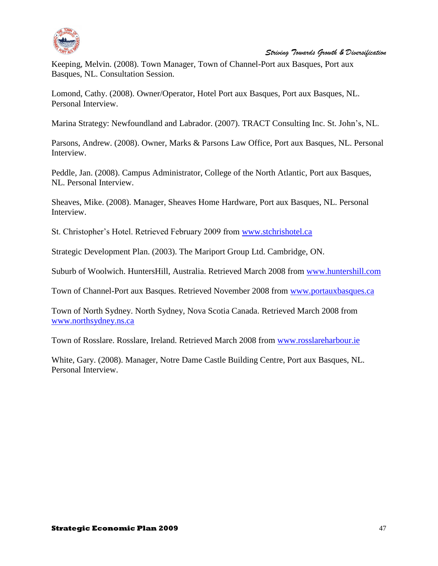

Keeping, Melvin. (2008). Town Manager, Town of Channel-Port aux Basques, Port aux Basques, NL. Consultation Session.

Lomond, Cathy. (2008). Owner/Operator, Hotel Port aux Basques, Port aux Basques, NL. Personal Interview.

Marina Strategy: Newfoundland and Labrador. (2007). TRACT Consulting Inc. St. John's, NL.

Parsons, Andrew. (2008). Owner, Marks & Parsons Law Office, Port aux Basques, NL. Personal Interview.

Peddle, Jan. (2008). Campus Administrator, College of the North Atlantic, Port aux Basques, NL. Personal Interview.

Sheaves, Mike. (2008). Manager, Sheaves Home Hardware, Port aux Basques, NL. Personal Interview.

St. Christopher's Hotel. Retrieved February 2009 from [www.stchrishotel.ca](http://www.stchrishotel.ca/)

Strategic Development Plan. (2003). The Mariport Group Ltd. Cambridge, ON.

Suburb of Woolwich. HuntersHill, Australia. Retrieved March 2008 from [www.huntershill.com](http://www.huntershill.com/)

Town of Channel-Port aux Basques. Retrieved November 2008 from [www.portauxbasques.ca](http://www.portauxbasques.ca/)

Town of North Sydney. North Sydney, Nova Scotia Canada. Retrieved March 2008 from [www.northsydney.ns.ca](http://www.northsydney.ns.ca/)

Town of Rosslare. Rosslare, Ireland. Retrieved March 2008 from [www.rosslareharbour.ie](http://www.rosslareharbour.ie/)

White, Gary. (2008). Manager, Notre Dame Castle Building Centre, Port aux Basques, NL. Personal Interview.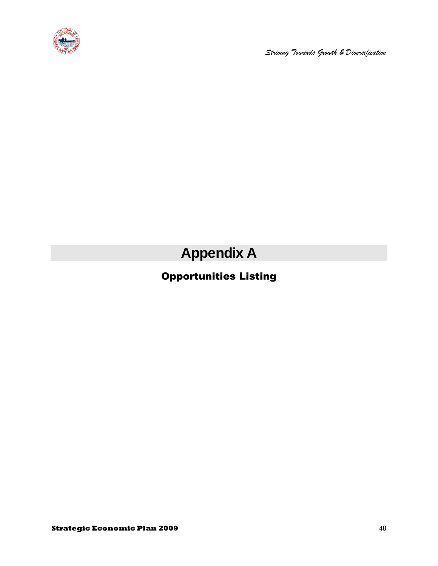

**Appendix A**

# <span id="page-47-0"></span>Opportunities Listing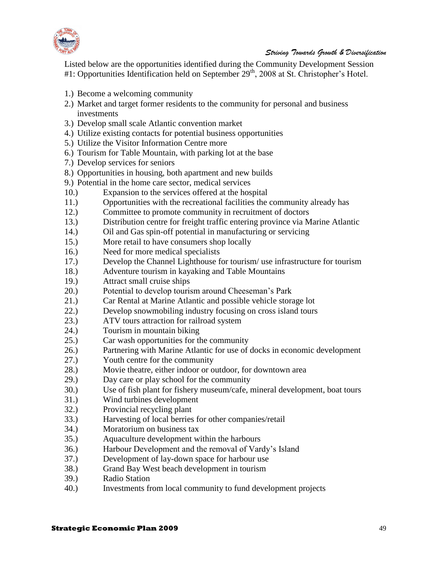

Listed below are the opportunities identified during the Community Development Session #1: Opportunities Identification held on September 29<sup>th</sup>, 2008 at St. Christopher's Hotel.

- 1.) Become a welcoming community
- 2.) Market and target former residents to the community for personal and business investments
- 3.) Develop small scale Atlantic convention market
- 4.) Utilize existing contacts for potential business opportunities
- 5.) Utilize the Visitor Information Centre more
- 6.) Tourism for Table Mountain, with parking lot at the base
- 7.) Develop services for seniors
- 8.) Opportunities in housing, both apartment and new builds
- 9.) Potential in the home care sector, medical services
- 10.) Expansion to the services offered at the hospital
- 11.) Opportunities with the recreational facilities the community already has
- 12.) Committee to promote community in recruitment of doctors
- 13.) Distribution centre for freight traffic entering province via Marine Atlantic
- 14.) Oil and Gas spin-off potential in manufacturing or servicing
- 15.) More retail to have consumers shop locally
- 16.) Need for more medical specialists
- 17.) Develop the Channel Lighthouse for tourism/ use infrastructure for tourism
- 18.) Adventure tourism in kayaking and Table Mountains
- 19.) Attract small cruise ships
- 20.) Potential to develop tourism around Cheeseman's Park
- 21.) Car Rental at Marine Atlantic and possible vehicle storage lot
- 22.) Develop snowmobiling industry focusing on cross island tours
- 23.) ATV tours attraction for railroad system
- 24.) Tourism in mountain biking
- 25.) Car wash opportunities for the community
- 26.) Partnering with Marine Atlantic for use of docks in economic development
- 27.) Youth centre for the community
- 28.) Movie theatre, either indoor or outdoor, for downtown area
- 29.) Day care or play school for the community
- 30.) Use of fish plant for fishery museum/cafe, mineral development, boat tours
- 31.) Wind turbines development
- 32.) Provincial recycling plant
- 33.) Harvesting of local berries for other companies/retail
- 34.) Moratorium on business tax
- 35.) Aquaculture development within the harbours
- 36.) Harbour Development and the removal of Vardy's Island
- 37.) Development of lay-down space for harbour use
- 38.) Grand Bay West beach development in tourism
- 39.) Radio Station
- 40.) Investments from local community to fund development projects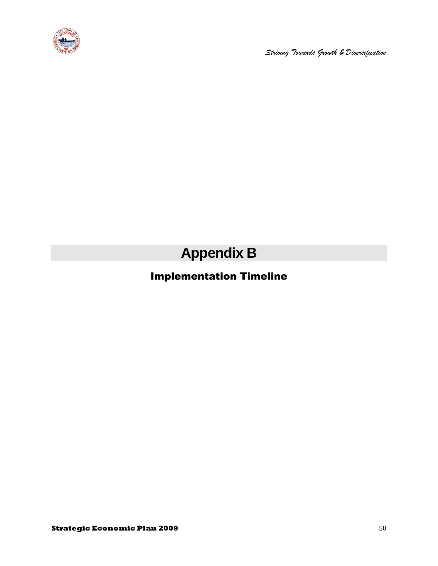

**Appendix B**

# <span id="page-49-0"></span>Implementation Timeline